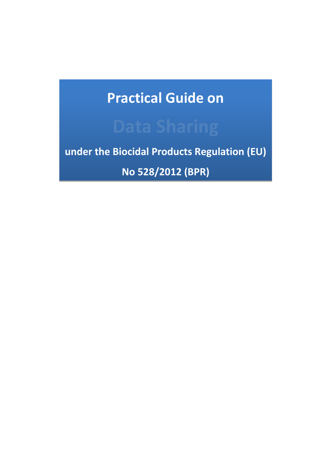# **Practical Guide on**

**under the Biocidal Products Regulation (EU)**

**No 528/2012 (BPR)**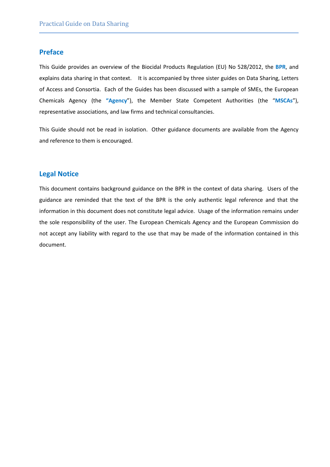#### **Preface**

This Guide provides an overview of the Biocidal Products Regulation (EU) No 528/2012, the **BPR**, and explains data sharing in that context. It is accompanied by three sister guides on Data Sharing, Letters of Access and Consortia. Each of the Guides has been discussed with a sample of SMEs, the European Chemicals Agency (the **"Agency**"), the Member State Competent Authorities (the "**MSCAs**"), representative associations, and law firms and technical consultancies.

This Guide should not be read in isolation. Other guidance documents are available from the Agency and reference to them is encouraged.

#### **Legal Notice**

This document contains background guidance on the BPR in the context of data sharing. Users of the guidance are reminded that the text of the BPR is the only authentic legal reference and that the information in this document does not constitute legal advice. Usage of the information remains under the sole responsibility of the user. The European Chemicals Agency and the European Commission do not accept any liability with regard to the use that may be made of the information contained in this document.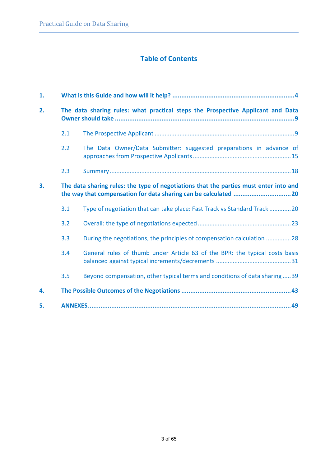# **Table of Contents**

| 1. |                                                                                       |                                                                             |  |
|----|---------------------------------------------------------------------------------------|-----------------------------------------------------------------------------|--|
| 2. | The data sharing rules: what practical steps the Prospective Applicant and Data       |                                                                             |  |
|    | 2.1                                                                                   |                                                                             |  |
|    | 2.2                                                                                   | The Data Owner/Data Submitter: suggested preparations in advance of         |  |
|    | 2.3                                                                                   |                                                                             |  |
| 3. | The data sharing rules: the type of negotiations that the parties must enter into and |                                                                             |  |
|    | 3.1                                                                                   | Type of negotiation that can take place: Fast Track vs Standard Track 20    |  |
|    | 3.2                                                                                   |                                                                             |  |
|    | 3.3                                                                                   | During the negotiations, the principles of compensation calculation 28      |  |
|    | 3.4                                                                                   | General rules of thumb under Article 63 of the BPR: the typical costs basis |  |
|    | 3.5                                                                                   | Beyond compensation, other typical terms and conditions of data sharing39   |  |
| 4. |                                                                                       |                                                                             |  |
| 5. |                                                                                       |                                                                             |  |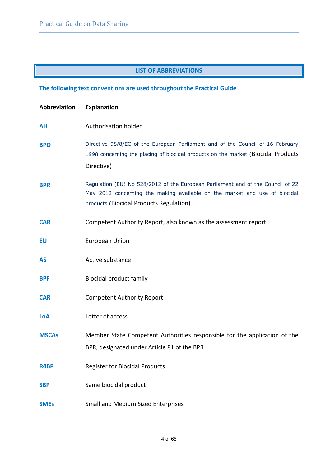#### **LIST OF ABBREVIATIONS**

# <span id="page-3-0"></span>**The following text conventions are used throughout the Practical Guide**

| Abbreviation | <b>Explanation</b>                                                                                                                                                                                       |
|--------------|----------------------------------------------------------------------------------------------------------------------------------------------------------------------------------------------------------|
| <b>AH</b>    | Authorisation holder                                                                                                                                                                                     |
| <b>BPD</b>   | Directive 98/8/EC of the European Parliament and of the Council of 16 February<br>1998 concerning the placing of biocidal products on the market (Biocidal Products<br>Directive)                        |
| <b>BPR</b>   | Regulation (EU) No 528/2012 of the European Parliament and of the Council of 22<br>May 2012 concerning the making available on the market and use of biocidal<br>products (Biocidal Products Regulation) |
| <b>CAR</b>   | Competent Authority Report, also known as the assessment report.                                                                                                                                         |
| <b>EU</b>    | <b>European Union</b>                                                                                                                                                                                    |
| <b>AS</b>    | Active substance                                                                                                                                                                                         |
| <b>BPF</b>   | <b>Biocidal product family</b>                                                                                                                                                                           |
| <b>CAR</b>   | <b>Competent Authority Report</b>                                                                                                                                                                        |
| LoA          | Letter of access                                                                                                                                                                                         |
| <b>MSCAs</b> | Member State Competent Authorities responsible for the application of the<br>BPR, designated under Article 81 of the BPR                                                                                 |
| R4BP         | <b>Register for Biocidal Products</b>                                                                                                                                                                    |
| <b>SBP</b>   | Same biocidal product                                                                                                                                                                                    |
| <b>SMEs</b>  | <b>Small and Medium Sized Enterprises</b>                                                                                                                                                                |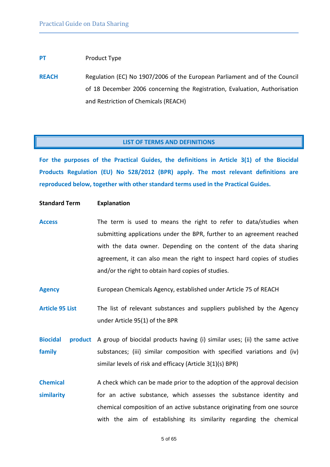#### **PT** Product Type

**REACH** Regulation (EC) No 1907/2006 of the European Parliament and of the Council of 18 December 2006 concerning the Registration, Evaluation, Authorisation and Restriction of Chemicals (REACH)

#### **LIST OF TERMS AND DEFINITIONS**

**For the purposes of the Practical Guides, the definitions in Article 3(1) of the Biocidal Products Regulation (EU) No 528/2012 (BPR) apply. The most relevant definitions are reproduced below, together with other standard terms used in the Practical Guides.**

#### **Standard Term Explanation**

- **Access** The term is used to means the right to refer to data/studies when submitting applications under the BPR, further to an agreement reached with the data owner. Depending on the content of the data sharing agreement, it can also mean the right to inspect hard copies of studies and/or the right to obtain hard copies of studies.
- **Agency** European Chemicals Agency, established under Article 75 of REACH

Article 95 List The list of relevant substances and suppliers published by the Agency under Article 95(1) of the BPR

Biocidal product A group of biocidal products having (i) similar uses; (ii) the same active **family** substances; (iii) similar composition with specified variations and (iv) similar levels of risk and efficacy (Article 3(1)(s) BPR)

**Chemical similarity** A check which can be made prior to the adoption of the approval decision for an active substance, which assesses the substance identity and chemical composition of an active substance originating from one source with the aim of establishing its similarity regarding the chemical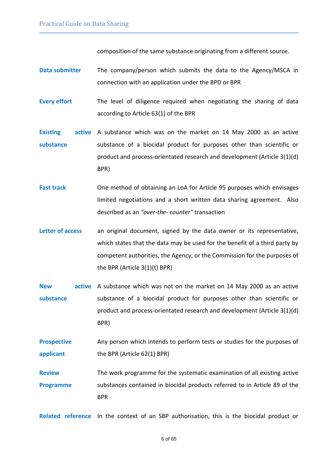composition of the same substance originating from a different source.

- **Data submitter** The company/person which submits the data to the Agency/MSCA in connection with an application under the BPD or BPR
- **Every effort** The level of diligence required when negotiating the sharing of data according to Article 63(1) of the BPR
- **Existing substance** active A substance which was on the market on 14 May 2000 as an active substance of a biocidal product for purposes other than scientific or product and process-orientated research and development (Article 3(1)(d) BPR)
- **Fast track** One method of obtaining an LoA for Article 95 purposes which envisages limited negotiations and a short written data sharing agreement. Also described as an *"over-the- counter"* transaction
- Letter of access an original document, signed by the data owner or its representative, which states that the data may be used for the benefit of a third party by competent authorities, the Agency, or the Commission for the purposes of the BPR (Article 3(1)(t) BPR)
- **New active**  A substance which was not on the market on 14 May 2000 as an active **substance** substance of a biocidal product for purposes other than scientific or product and process-orientated research and development (Article 3(1)(d) BPR)
- **Prospective applicant** Any person which intends to perform tests or studies for the purposes of the BPR (Article 62(1) BPR)
- **Review Programme** The work programme for the systematic examination of all existing active substances contained in biocidal products referred to in Article 89 of the BPR

**Related reference** In the context of an SBP authorisation, this is the biocidal product or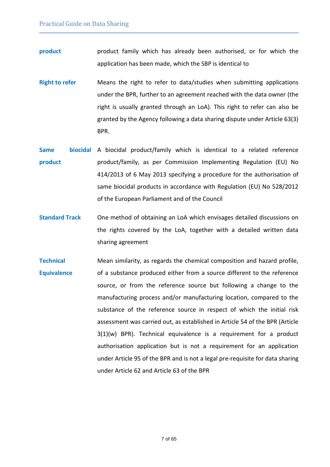- **product product** product family which has already been authorised, or for which the application has been made, which the SBP is identical to
- **Right to refer** Means the right to refer to data/studies when submitting applications under the BPR, further to an agreement reached with the data owner (the right is usually granted through an LoA). This right to refer can also be granted by the Agency following a data sharing dispute under Article 63(3) BPR.
- Same **biocidal** A biocidal product/family which is identical to a related reference **product** product/family, as per Commission Implementing Regulation (EU) No 414/2013 of 6 May 2013 specifying a procedure for the authorisation of same biocidal products in accordance with Regulation (EU) No 528/2012 of the European Parliament and of the Council
- **Standard Track** One method of obtaining an LoA which envisages detailed discussions on the rights covered by the LoA, together with a detailed written data sharing agreement
- **Technical Equivalence**  Mean similarity, as regards the chemical composition and hazard profile, of a substance produced either from a source different to the reference source, or from the reference source but following a change to the manufacturing process and/or manufacturing location, compared to the substance of the reference source in respect of which the initial risk assessment was carried out, as established in Article 54 of the BPR (Article 3(1)(w) BPR). Technical equivalence is a requirement for a product authorisation application but is not a requirement for an application under Article 95 of the BPR and is not a legal pre-requisite for data sharing under Article 62 and Article 63 of the BPR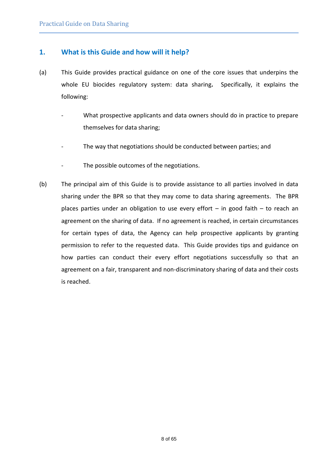# **1. What is this Guide and how will it help?**

- (a) This Guide provides practical guidance on one of the core issues that underpins the whole EU biocides regulatory system: data sharing**.** Specifically, it explains the following:
	- What prospective applicants and data owners should do in practice to prepare themselves for data sharing;
	- The way that negotiations should be conducted between parties; and
	- The possible outcomes of the negotiations.
- (b) The principal aim of this Guide is to provide assistance to all parties involved in data sharing under the BPR so that they may come to data sharing agreements. The BPR places parties under an obligation to use every effort – in good faith – to reach an agreement on the sharing of data. If no agreement is reached, in certain circumstances for certain types of data, the Agency can help prospective applicants by granting permission to refer to the requested data. This Guide provides tips and guidance on how parties can conduct their every effort negotiations successfully so that an agreement on a fair, transparent and non-discriminatory sharing of data and their costs is reached.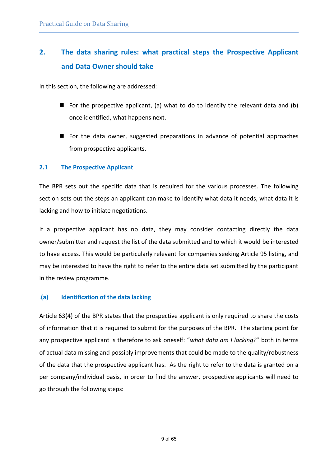# <span id="page-8-0"></span>**2. The data sharing rules: what practical steps the Prospective Applicant and Data Owner should take**

In this section, the following are addressed:

- For the prospective applicant, (a) what to do to identify the relevant data and (b) once identified, what happens next.
- For the data owner, suggested preparations in advance of potential approaches from prospective applicants.

#### <span id="page-8-1"></span>**2.1 The Prospective Applicant**

The BPR sets out the specific data that is required for the various processes. The following section sets out the steps an applicant can make to identify what data it needs, what data it is lacking and how to initiate negotiations.

If a prospective applicant has no data, they may consider contacting directly the data owner/submitter and request the list of the data submitted and to which it would be interested to have access. This would be particularly relevant for companies seeking Article 95 listing, and may be interested to have the right to refer to the entire data set submitted by the participant in the review programme.

#### .**(a) Identification of the data lacking**

Article 63(4) of the BPR states that the prospective applicant is only required to share the costs of information that it is required to submit for the purposes of the BPR. The starting point for any prospective applicant is therefore to ask oneself: "*what data am I lacking?*" both in terms of actual data missing and possibly improvements that could be made to the quality/robustness of the data that the prospective applicant has. As the right to refer to the data is granted on a per company/individual basis, in order to find the answer, prospective applicants will need to go through the following steps: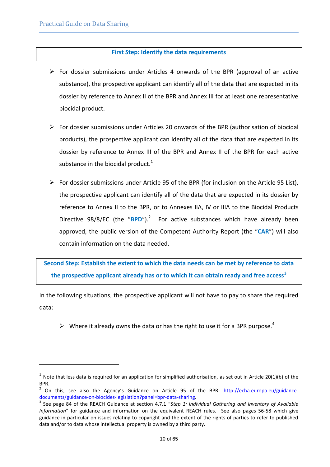l

#### **First Step: Identify the data requirements**

- $\triangleright$  For dossier submissions under Articles 4 onwards of the BPR (approval of an active substance), the prospective applicant can identify all of the data that are expected in its dossier by reference to Annex II of the BPR and Annex III for at least one representative biocidal product.
- $\triangleright$  For dossier submissions under Articles 20 onwards of the BPR (authorisation of biocidal products), the prospective applicant can identify all of the data that are expected in its dossier by reference to Annex III of the BPR and Annex II of the BPR for each active substance in the biocidal product. $1$
- $\triangleright$  For dossier submissions under Article 95 of the BPR (for inclusion on the Article 95 List), the prospective applicant can identify all of the data that are expected in its dossier by reference to Annex II to the BPR, or to Annexes IIA, IV or IIIA to the Biocidal Products Directive 98/8/EC (the "BPD").<sup>2</sup> For active substances which have already been approved, the public version of the Competent Authority Report (the "**CAR**") will also contain information on the data needed.

**Second Step: Establish the extent to which the data needs can be met by reference to data the prospective applicant already has or to which it can obtain ready and free access<sup>3</sup>**

In the following situations, the prospective applicant will not have to pay to share the required data:

 $\triangleright$  Where it already owns the data or has the right to use it for a BPR purpose.<sup>4</sup>

<sup>&</sup>lt;sup>1</sup> Note that less data is required for an application for simplified authorisation, as set out in Article 20(1)(b) of the BPR.

<sup>&</sup>lt;sup>2</sup> On this, see also the Agency's Guidance on Article 95 of the BPR: [http://echa.europa.eu/guidance](http://echa.europa.eu/guidance-documents/guidance-on-biocides-legislation?panel=bpr-data-sharing)[documents/guidance-on-biocides-legislation?panel=bpr-data-sharing.](http://echa.europa.eu/guidance-documents/guidance-on-biocides-legislation?panel=bpr-data-sharing)

<sup>3</sup> See page 84 of the REACH Guidance at section 4.7.1 "*Step 1: Individual Gathering and Inventory of Available Information*" for guidance and information on the equivalent REACH rules. See also pages 56-58 which give guidance in particular on issues relating to copyright and the extent of the rights of parties to refer to published data and/or to data whose intellectual property is owned by a third party.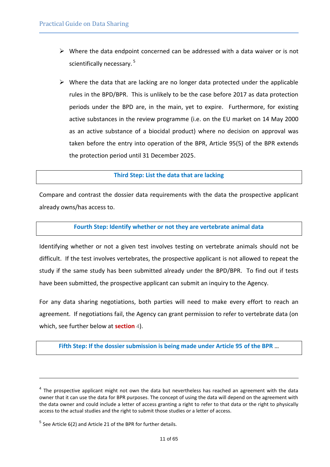- $\triangleright$  Where the data endpoint concerned can be addressed with a data waiver or is not scientifically necessary.<sup>5</sup>
- $\triangleright$  Where the data that are lacking are no longer data protected under the applicable rules in the BPD/BPR. This is unlikely to be the case before 2017 as data protection periods under the BPD are, in the main, yet to expire. Furthermore, for existing active substances in the review programme (i.e. on the EU market on 14 May 2000 as an active substance of a biocidal product) where no decision on approval was taken before the entry into operation of the BPR, Article 95(5) of the BPR extends the protection period until 31 December 2025.

#### **Third Step: List the data that are lacking**

Compare and contrast the dossier data requirements with the data the prospective applicant already owns/has access to.

#### **Fourth Step: Identify whether or not they are vertebrate animal data**

Identifying whether or not a given test involves testing on vertebrate animals should not be difficult. If the test involves vertebrates, the prospective applicant is not allowed to repeat the study if the same study has been submitted already under the BPD/BPR. To find out if tests have been submitted, the prospective applicant can submit an inquiry to the Agency.

For any data sharing negotiations, both parties will need to make every effort to reach an agreement. If negotiations fail, the Agency can grant permission to refer to vertebrate data (on which, see further below at **[section](#page-42-0)** [4](#page-42-0)).

**Fifth Step: If the dossier submission is being made under Article 95 of the BPR** …

l

 $<sup>4</sup>$  The prospective applicant might not own the data but nevertheless has reached an agreement with the data</sup> owner that it can use the data for BPR purposes. The concept of using the data will depend on the agreement with the data owner and could include a letter of access granting a right to refer to that data or the right to physically access to the actual studies and the right to submit those studies or a letter of access.

 $<sup>5</sup>$  See Article 6(2) and Article 21 of the BPR for further details.</sup>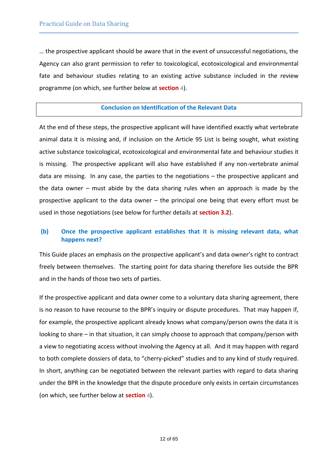… the prospective applicant should be aware that in the event of unsuccessful negotiations, the Agency can also grant permission to refer to toxicological, ecotoxicological and environmental fate and behaviour studies relating to an existing active substance included in the review programme (on which, see further below at **[section](#page-42-0)** [4](#page-42-0)).

#### **Conclusion on Identification of the Relevant Data**

At the end of these steps, the prospective applicant will have identified exactly what vertebrate animal data it is missing and, if inclusion on the Article 95 List is being sought, what existing active substance toxicological, ecotoxicological and environmental fate and behaviour studies it is missing. The prospective applicant will also have established if any non-vertebrate animal data are missing. In any case, the parties to the negotiations – the prospective applicant and the data owner – must abide by the data sharing rules when an approach is made by the prospective applicant to the data owner – the principal one being that every effort must be used in those negotiations (see below for further details at **[section](#page-22-0) [3.2](#page-22-0)**).

#### **(b) Once the prospective applicant establishes that it is missing relevant data, what happens next?**

This Guide places an emphasis on the prospective applicant's and data owner's right to contract freely between themselves. The starting point for data sharing therefore lies outside the BPR and in the hands of those two sets of parties.

If the prospective applicant and data owner come to a voluntary data sharing agreement, there is no reason to have recourse to the BPR's inquiry or dispute procedures. That may happen if, for example, the prospective applicant already knows what company/person owns the data it is looking to share – in that situation, it can simply choose to approach that company/person with a view to negotiating access without involving the Agency at all. And it may happen with regard to both complete dossiers of data, to "cherry-picked" studies and to any kind of study required. In short, anything can be negotiated between the relevant parties with regard to data sharing under the BPR in the knowledge that the dispute procedure only exists in certain circumstances (on which, see further below at **[section](#page-42-0)** [4](#page-42-0)).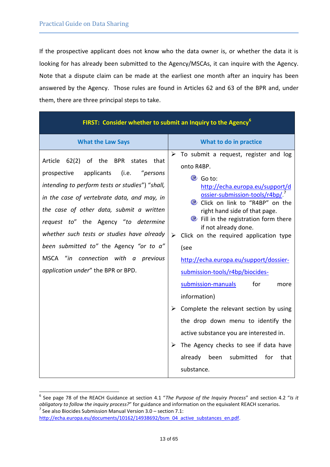If the prospective applicant does not know who the data owner is, or whether the data it is looking for has already been submitted to the Agency/MSCAs, it can inquire with the Agency. Note that a dispute claim can be made at the earliest one month after an inquiry has been answered by the Agency. Those rules are found in Articles 62 and 63 of the BPR and, under them, there are three principal steps to take.

| FIRST: Consider whether to submit an Inquiry to the Agency <sup>6</sup>                                                                                                                                                                                                                                                                                                                                                                                            |                                                                                                                                                                                                                                                                                                                                                                                                                                                                                                                                                                                                                                                                                                                       |  |  |
|--------------------------------------------------------------------------------------------------------------------------------------------------------------------------------------------------------------------------------------------------------------------------------------------------------------------------------------------------------------------------------------------------------------------------------------------------------------------|-----------------------------------------------------------------------------------------------------------------------------------------------------------------------------------------------------------------------------------------------------------------------------------------------------------------------------------------------------------------------------------------------------------------------------------------------------------------------------------------------------------------------------------------------------------------------------------------------------------------------------------------------------------------------------------------------------------------------|--|--|
| <b>What the Law Says</b>                                                                                                                                                                                                                                                                                                                                                                                                                                           | What to do in practice                                                                                                                                                                                                                                                                                                                                                                                                                                                                                                                                                                                                                                                                                                |  |  |
| 62(2) of the<br><b>BPR</b><br>Article<br>states that<br>"persons<br>prospective<br>applicants<br>(i.e.<br>intending to perform tests or studies") "shall,<br>in the case of vertebrate data, and may, in<br>the case of other data, submit a written<br>request to" the Agency "to determine<br>whether such tests or studies have already<br>been submitted to" the Agency "or to a"<br>MSCA "in connection with a previous<br>application under" the BPR or BPD. | $\triangleright$ To submit a request, register and log<br>onto R4BP.<br>C Go to:<br>http://echa.europa.eu/support/d<br>ossier-submission-tools/r4bp/.<br>Click on link to "R4BP" on the<br>right hand side of that page.<br>• Fill in the registration form there<br>if not already done.<br>Click on the required application type<br>➤<br>(see<br>http://echa.europa.eu/support/dossier-<br>submission-tools/r4bp/biocides-<br>submission-manuals<br>for<br>more<br>information)<br>Complete the relevant section by using<br>the drop down menu to identify the<br>active substance you are interested in.<br>The Agency checks to see if data have<br>➤<br>submitted<br>already been<br>for<br>that<br>substance. |  |  |

 6 See page 78 of the REACH Guidance at section 4.1 "*The Purpose of the Inquiry Process*" and section 4.2 "*Is it obligatory to follow the inquiry process?*" for guidance and information on the equivalent REACH scenarios.  $^7$  See also Biocides Submission Manual Version 3.0 – section 7.1:

[http://echa.europa.eu/documents/10162/14938692/bsm\\_04\\_active\\_substances\\_en.pdf.](http://echa.europa.eu/documents/10162/14938692/bsm_04_active_substances_en.pdf)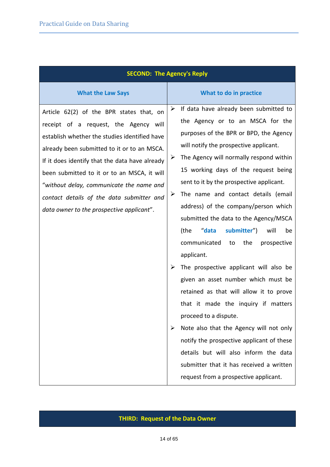| <b>SECOND: The Agency's Reply</b>                                                                                                                                                                                                                                                                                                                                                                                        |                                                                                                                                                                                                                                                                                                                                                                                                                                                                                                                                                                                                                                                                                                                                                                                                                                                                                                                                                                                         |  |  |
|--------------------------------------------------------------------------------------------------------------------------------------------------------------------------------------------------------------------------------------------------------------------------------------------------------------------------------------------------------------------------------------------------------------------------|-----------------------------------------------------------------------------------------------------------------------------------------------------------------------------------------------------------------------------------------------------------------------------------------------------------------------------------------------------------------------------------------------------------------------------------------------------------------------------------------------------------------------------------------------------------------------------------------------------------------------------------------------------------------------------------------------------------------------------------------------------------------------------------------------------------------------------------------------------------------------------------------------------------------------------------------------------------------------------------------|--|--|
| <b>What the Law Says</b>                                                                                                                                                                                                                                                                                                                                                                                                 | What to do in practice                                                                                                                                                                                                                                                                                                                                                                                                                                                                                                                                                                                                                                                                                                                                                                                                                                                                                                                                                                  |  |  |
| Article 62(2) of the BPR states that, on<br>receipt of a request, the Agency will<br>establish whether the studies identified have<br>already been submitted to it or to an MSCA.<br>If it does identify that the data have already<br>been submitted to it or to an MSCA, it will<br>"without delay, communicate the name and<br>contact details of the data submitter and<br>data owner to the prospective applicant". | $\triangleright$ If data have already been submitted to<br>the Agency or to an MSCA for the<br>purposes of the BPR or BPD, the Agency<br>will notify the prospective applicant.<br>The Agency will normally respond within<br>➤<br>15 working days of the request being<br>sent to it by the prospective applicant.<br>The name and contact details (email<br>➤<br>address) of the company/person which<br>submitted the data to the Agency/MSCA<br>"data<br>submitter")<br>(the<br>will<br>be<br>communicated<br>the<br>to<br>prospective<br>applicant.<br>The prospective applicant will also be<br>➤<br>given an asset number which must be<br>retained as that will allow it to prove<br>that it made the inquiry if<br>matters<br>proceed to a dispute.<br>Note also that the Agency will not only<br>➤<br>notify the prospective applicant of these<br>details but will also inform the data<br>submitter that it has received a written<br>request from a prospective applicant. |  |  |

# **THIRD: Request of the Data Owner**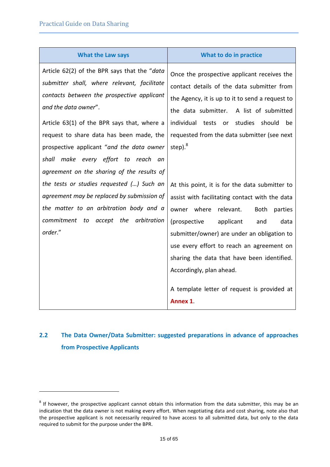l

| <b>What the Law says</b>                                                                                                                                                                                                                                                                                                                                                                       | What to do in practice                                                                                                                                                                                                                                                                                                                                                                                                               |
|------------------------------------------------------------------------------------------------------------------------------------------------------------------------------------------------------------------------------------------------------------------------------------------------------------------------------------------------------------------------------------------------|--------------------------------------------------------------------------------------------------------------------------------------------------------------------------------------------------------------------------------------------------------------------------------------------------------------------------------------------------------------------------------------------------------------------------------------|
| Article 62(2) of the BPR says that the "data<br>submitter shall, where relevant, facilitate<br>contacts between the prospective applicant<br>and the data owner".<br>Article 63(1) of the BPR says that, where a<br>request to share data has been made, the<br>prospective applicant "and the data owner<br>shall make every effort to reach an<br>agreement on the sharing of the results of | Once the prospective applicant receives the<br>contact details of the data submitter from<br>the Agency, it is up to it to send a request to<br>the data submitter.<br>A list of submitted<br>individual tests or<br>studies<br>should<br>be<br>requested from the data submitter (see next<br>step). $8$                                                                                                                            |
| the tests or studies requested () Such an<br>agreement may be replaced by submission of<br>the matter to an arbitration body and a<br>commitment to accept the<br>arbitration<br>order."                                                                                                                                                                                                       | At this point, it is for the data submitter to<br>assist with facilitating contact with the data<br>owner where<br>relevant.<br><b>Both</b><br>parties<br>(prospective<br>applicant<br>data<br>and<br>submitter/owner) are under an obligation to<br>use every effort to reach an agreement on<br>sharing the data that have been identified.<br>Accordingly, plan ahead.<br>A template letter of request is provided at<br>Annex 1. |

# <span id="page-14-0"></span>**2.2 The Data Owner/Data Submitter: suggested preparations in advance of approaches from Prospective Applicants**

 $^8$  If however, the prospective applicant cannot obtain this information from the data submitter, this may be an indication that the data owner is not making every effort. When negotiating data and cost sharing, note also that the prospective applicant is not necessarily required to have access to all submitted data, but only to the data required to submit for the purpose under the BPR.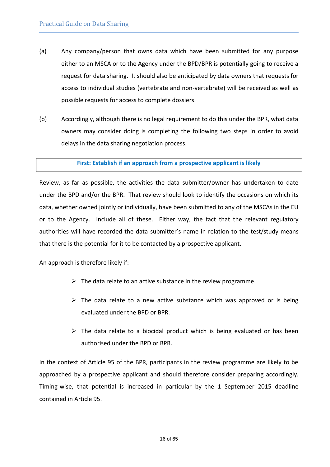- (a) Any company/person that owns data which have been submitted for any purpose either to an MSCA or to the Agency under the BPD/BPR is potentially going to receive a request for data sharing. It should also be anticipated by data owners that requests for access to individual studies (vertebrate and non-vertebrate) will be received as well as possible requests for access to complete dossiers.
- (b) Accordingly, although there is no legal requirement to do this under the BPR, what data owners may consider doing is completing the following two steps in order to avoid delays in the data sharing negotiation process.

#### **First: Establish if an approach from a prospective applicant is likely**

Review, as far as possible, the activities the data submitter/owner has undertaken to date under the BPD and/or the BPR. That review should look to identify the occasions on which its data, whether owned jointly or individually, have been submitted to any of the MSCAs in the EU or to the Agency. Include all of these. Either way, the fact that the relevant regulatory authorities will have recorded the data submitter's name in relation to the test/study means that there is the potential for it to be contacted by a prospective applicant.

An approach is therefore likely if:

- $\triangleright$  The data relate to an active substance in the review programme.
- $\triangleright$  The data relate to a new active substance which was approved or is being evaluated under the BPD or BPR.
- $\triangleright$  The data relate to a biocidal product which is being evaluated or has been authorised under the BPD or BPR.

In the context of Article 95 of the BPR, participants in the review programme are likely to be approached by a prospective applicant and should therefore consider preparing accordingly. Timing-wise, that potential is increased in particular by the 1 September 2015 deadline contained in Article 95.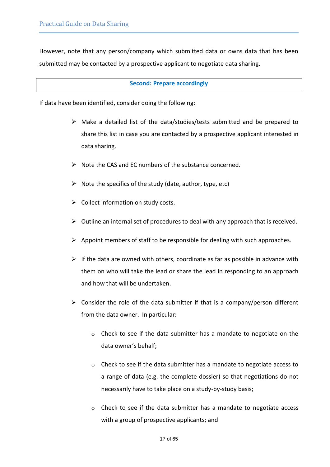However, note that any person/company which submitted data or owns data that has been submitted may be contacted by a prospective applicant to negotiate data sharing.

#### **Second: Prepare accordingly**

If data have been identified, consider doing the following:

- $\triangleright$  Make a detailed list of the data/studies/tests submitted and be prepared to share this list in case you are contacted by a prospective applicant interested in data sharing.
- $\triangleright$  Note the CAS and EC numbers of the substance concerned.
- $\triangleright$  Note the specifics of the study (date, author, type, etc)
- $\triangleright$  Collect information on study costs.
- $\triangleright$  Outline an internal set of procedures to deal with any approach that is received.
- $\triangleright$  Appoint members of staff to be responsible for dealing with such approaches.
- $\triangleright$  If the data are owned with others, coordinate as far as possible in advance with them on who will take the lead or share the lead in responding to an approach and how that will be undertaken.
- $\triangleright$  Consider the role of the data submitter if that is a company/person different from the data owner. In particular:
	- o Check to see if the data submitter has a mandate to negotiate on the data owner's behalf;
	- o Check to see if the data submitter has a mandate to negotiate access to a range of data (e.g. the complete dossier) so that negotiations do not necessarily have to take place on a study-by-study basis;
	- $\circ$  Check to see if the data submitter has a mandate to negotiate access with a group of prospective applicants; and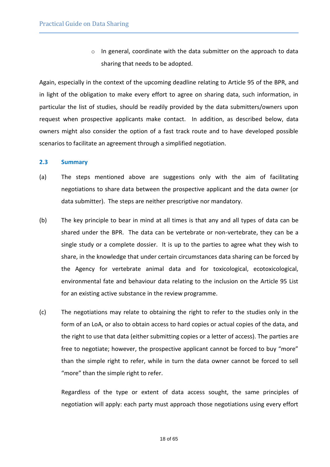o In general, coordinate with the data submitter on the approach to data sharing that needs to be adopted.

Again, especially in the context of the upcoming deadline relating to Article 95 of the BPR, and in light of the obligation to make every effort to agree on sharing data, such information, in particular the list of studies, should be readily provided by the data submitters/owners upon request when prospective applicants make contact. In addition, as described below, data owners might also consider the option of a fast track route and to have developed possible scenarios to facilitate an agreement through a simplified negotiation.

#### <span id="page-17-0"></span>**2.3 Summary**

- (a) The steps mentioned above are suggestions only with the aim of facilitating negotiations to share data between the prospective applicant and the data owner (or data submitter). The steps are neither prescriptive nor mandatory.
- (b) The key principle to bear in mind at all times is that any and all types of data can be shared under the BPR. The data can be vertebrate or non-vertebrate, they can be a single study or a complete dossier. It is up to the parties to agree what they wish to share, in the knowledge that under certain circumstances data sharing can be forced by the Agency for vertebrate animal data and for toxicological, ecotoxicological, environmental fate and behaviour data relating to the inclusion on the Article 95 List for an existing active substance in the review programme.
- (c) The negotiations may relate to obtaining the right to refer to the studies only in the form of an LoA, or also to obtain access to hard copies or actual copies of the data, and the right to use that data (either submitting copies or a letter of access). The parties are free to negotiate; however, the prospective applicant cannot be forced to buy "more" than the simple right to refer, while in turn the data owner cannot be forced to sell "more" than the simple right to refer.

Regardless of the type or extent of data access sought, the same principles of negotiation will apply: each party must approach those negotiations using every effort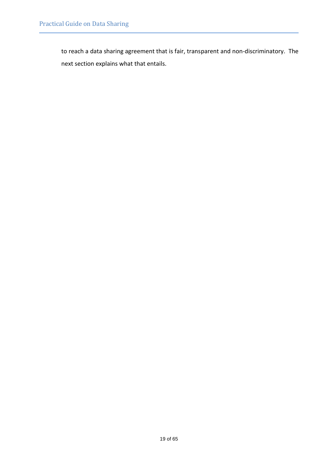to reach a data sharing agreement that is fair, transparent and non-discriminatory. The next section explains what that entails.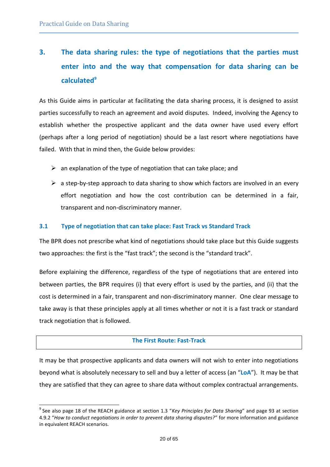l

# <span id="page-19-0"></span>**3. The data sharing rules: the type of negotiations that the parties must enter into and the way that compensation for data sharing can be calculated<sup>9</sup>**

As this Guide aims in particular at facilitating the data sharing process, it is designed to assist parties successfully to reach an agreement and avoid disputes. Indeed, involving the Agency to establish whether the prospective applicant and the data owner have used every effort (perhaps after a long period of negotiation) should be a last resort where negotiations have failed. With that in mind then, the Guide below provides:

- $\triangleright$  an explanation of the type of negotiation that can take place; and
- $\triangleright$  a step-by-step approach to data sharing to show which factors are involved in an every effort negotiation and how the cost contribution can be determined in a fair, transparent and non-discriminatory manner.

#### <span id="page-19-1"></span>**3.1 Type of negotiation that can take place: Fast Track vs Standard Track**

The BPR does not prescribe what kind of negotiations should take place but this Guide suggests two approaches: the first is the "fast track"; the second is the "standard track".

Before explaining the difference, regardless of the type of negotiations that are entered into between parties, the BPR requires (i) that every effort is used by the parties, and (ii) that the cost is determined in a fair, transparent and non-discriminatory manner. One clear message to take away is that these principles apply at all times whether or not it is a fast track or standard track negotiation that is followed.

#### **The First Route: Fast-Track**

It may be that prospective applicants and data owners will not wish to enter into negotiations beyond what is absolutely necessary to sell and buy a letter of access (an "**LoA**"). It may be that they are satisfied that they can agree to share data without complex contractual arrangements.

<sup>9</sup> See also page 18 of the REACH guidance at section 1.3 "*Key Principles for Data Sharing*" and page 93 at section 4.9.2 "*How to conduct negotiations in order to prevent data sharing disputes?*" for more information and guidance in equivalent REACH scenarios.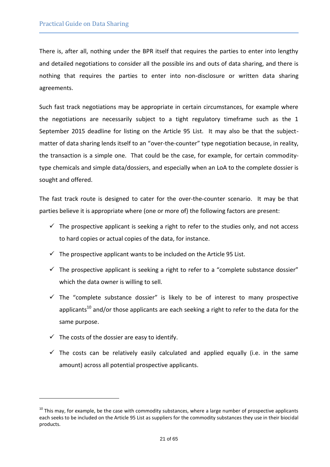There is, after all, nothing under the BPR itself that requires the parties to enter into lengthy and detailed negotiations to consider all the possible ins and outs of data sharing, and there is nothing that requires the parties to enter into non-disclosure or written data sharing agreements.

Such fast track negotiations may be appropriate in certain circumstances, for example where the negotiations are necessarily subject to a tight regulatory timeframe such as the 1 September 2015 deadline for listing on the Article 95 List. It may also be that the subjectmatter of data sharing lends itself to an "over-the-counter" type negotiation because, in reality, the transaction is a simple one. That could be the case, for example, for certain commoditytype chemicals and simple data/dossiers, and especially when an LoA to the complete dossier is sought and offered.

The fast track route is designed to cater for the over-the-counter scenario. It may be that parties believe it is appropriate where (one or more of) the following factors are present:

- $\checkmark$  The prospective applicant is seeking a right to refer to the studies only, and not access to hard copies or actual copies of the data, for instance.
- $\checkmark$  The prospective applicant wants to be included on the Article 95 List.
- $\checkmark$  The prospective applicant is seeking a right to refer to a "complete substance dossier" which the data owner is willing to sell.
- $\checkmark$  The "complete substance dossier" is likely to be of interest to many prospective applicants<sup>10</sup> and/or those applicants are each seeking a right to refer to the data for the same purpose.
- $\checkmark$  The costs of the dossier are easy to identify.

l

 $\checkmark$  The costs can be relatively easily calculated and applied equally (i.e. in the same amount) across all potential prospective applicants.

 $10$  This may, for example, be the case with commodity substances, where a large number of prospective applicants each seeks to be included on the Article 95 List as suppliers for the commodity substances they use in their biocidal products.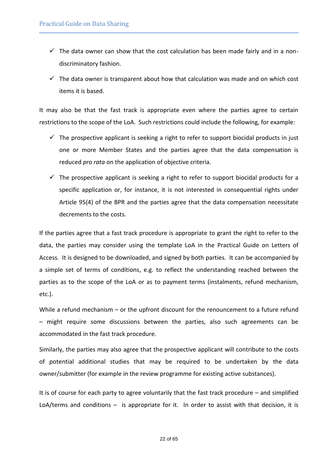- $\checkmark$  The data owner can show that the cost calculation has been made fairly and in a nondiscriminatory fashion.
- $\checkmark$  The data owner is transparent about how that calculation was made and on which cost items it is based.

It may also be that the fast track is appropriate even where the parties agree to certain restrictions to the scope of the LoA. Such restrictions could include the following, for example:

- $\checkmark$  The prospective applicant is seeking a right to refer to support biocidal products in just one or more Member States and the parties agree that the data compensation is reduced *pro rata* on the application of objective criteria.
- $\checkmark$  The prospective applicant is seeking a right to refer to support biocidal products for a specific application or, for instance, it is not interested in consequential rights under Article 95(4) of the BPR and the parties agree that the data compensation necessitate decrements to the costs.

If the parties agree that a fast track procedure is appropriate to grant the right to refer to the data, the parties may consider using the template LoA in the Practical Guide on Letters of Access. It is designed to be downloaded, and signed by both parties. It can be accompanied by a simple set of terms of conditions, e.g. to reflect the understanding reached between the parties as to the scope of the LoA or as to payment terms (instalments, refund mechanism, etc.).

While a refund mechanism – or the upfront discount for the renouncement to a future refund – might require some discussions between the parties, also such agreements can be accommodated in the fast track procedure.

Similarly, the parties may also agree that the prospective applicant will contribute to the costs of potential additional studies that may be required to be undertaken by the data owner/submitter (for example in the review programme for existing active substances).

It is of course for each party to agree voluntarily that the fast track procedure – and simplified LoA/terms and conditions – is appropriate for it. In order to assist with that decision, it is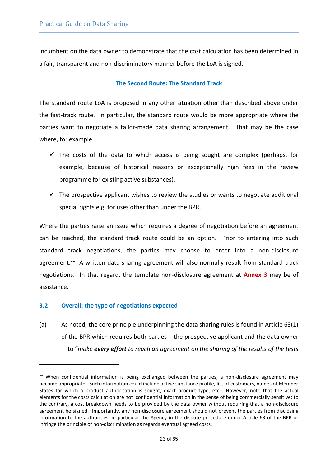incumbent on the data owner to demonstrate that the cost calculation has been determined in a fair, transparent and non-discriminatory manner before the LoA is signed.

#### **The Second Route: The Standard Track**

The standard route LoA is proposed in any other situation other than described above under the fast-track route. In particular, the standard route would be more appropriate where the parties want to negotiate a tailor-made data sharing arrangement. That may be the case where, for example:

- $\checkmark$  The costs of the data to which access is being sought are complex (perhaps, for example, because of historical reasons or exceptionally high fees in the review programme for existing active substances).
- $\checkmark$  The prospective applicant wishes to review the studies or wants to negotiate additional special rights e.g. for uses other than under the BPR.

Where the parties raise an issue which requires a degree of negotiation before an agreement can be reached, the standard track route could be an option. Prior to entering into such standard track negotiations, the parties may choose to enter into a non-disclosure agreement.<sup>11</sup> A written data sharing agreement will also normally result from standard track negotiations. In that regard, the template non-disclosure agreement at **[Annex](#page-52-0) [3](#page-52-0)** may be of assistance.

#### <span id="page-22-0"></span>**3.2 Overall: the type of negotiations expected**

l

(a) As noted, the core principle underpinning the data sharing rules is found in Article 63(1) of the BPR which requires both parties – the prospective applicant and the data owner – to "*make every effort to reach an agreement on the sharing of the results of the tests* 

<sup>&</sup>lt;sup>11</sup> When confidential information is being exchanged between the parties, a non-disclosure agreement may become appropriate. Such information could include active substance profile, list of customers, names of Member States for which a product authorisation is sought, exact product type, etc. However, note that the actual elements for the costs calculation are not confidential information in the sense of being commercially sensitive; to the contrary, a cost breakdown needs to be provided by the data owner without requiring that a non-disclosure agreement be signed. Importantly, any non-disclosure agreement should not prevent the parties from disclosing information to the authorities, in particular the Agency in the dispute procedure under Article 63 of the BPR or infringe the principle of non-discrimination as regards eventual agreed costs.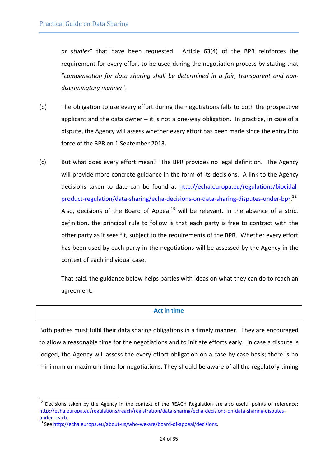*or studies*" that have been requested. Article 63(4) of the BPR reinforces the requirement for every effort to be used during the negotiation process by stating that "*compensation for data sharing shall be determined in a fair, transparent and nondiscriminatory manner*".

- (b) The obligation to use every effort during the negotiations falls to both the prospective applicant and the data owner – it is not a one-way obligation. In practice, in case of a dispute, the Agency will assess whether every effort has been made since the entry into force of the BPR on 1 September 2013.
- (c) But what does every effort mean? The BPR provides no legal definition. The Agency will provide more concrete guidance in the form of its decisions. A link to the Agency decisions taken to date can be found at [http://echa.europa.eu/regulations/biocidal](http://echa.europa.eu/regulations/biocidal-product-regulation/data-sharing/echa-decisions-on-data-sharing-disputes-under-bpr)[product-regulation/data-sharing/echa-decisions-on-data-sharing-disputes-under-bpr.](http://echa.europa.eu/regulations/biocidal-product-regulation/data-sharing/echa-decisions-on-data-sharing-disputes-under-bpr) 12 Also, decisions of the Board of Appeal<sup>13</sup> will be relevant. In the absence of a strict definition, the principal rule to follow is that each party is free to contract with the other party as it sees fit, subject to the requirements of the BPR. Whether every effort has been used by each party in the negotiations will be assessed by the Agency in the context of each individual case.

That said, the guidance below helps parties with ideas on what they can do to reach an agreement.

#### **Act in time**

Both parties must fulfil their data sharing obligations in a timely manner. They are encouraged to allow a reasonable time for the negotiations and to initiate efforts early. In case a dispute is lodged, the Agency will assess the every effort obligation on a case by case basis; there is no minimum or maximum time for negotiations. They should be aware of all the regulatory timing

l

 $12$  Decisions taken by the Agency in the context of the REACH Regulation are also useful points of reference: [http://echa.europa.eu/regulations/reach/registration/data-sharing/echa-decisions-on-data-sharing-disputes-](http://echa.europa.eu/regulations/reach/registration/data-sharing/echa-decisions-on-data-sharing-disputes-under-reach) $\underline{\text{under-reach}}$ .

<sup>13</sup> Se[e http://echa.europa.eu/about-us/who-we-are/board-of-appeal/decisions.](http://echa.europa.eu/about-us/who-we-are/board-of-appeal/decisions)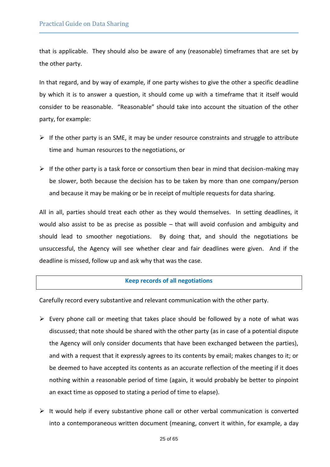that is applicable. They should also be aware of any (reasonable) timeframes that are set by the other party.

In that regard, and by way of example, if one party wishes to give the other a specific deadline by which it is to answer a question, it should come up with a timeframe that it itself would consider to be reasonable. "Reasonable" should take into account the situation of the other party, for example:

- $\triangleright$  If the other party is an SME, it may be under resource constraints and struggle to attribute time and human resources to the negotiations, or
- $\triangleright$  If the other party is a task force or consortium then bear in mind that decision-making may be slower, both because the decision has to be taken by more than one company/person and because it may be making or be in receipt of multiple requests for data sharing.

All in all, parties should treat each other as they would themselves. In setting deadlines, it would also assist to be as precise as possible – that will avoid confusion and ambiguity and should lead to smoother negotiations. By doing that, and should the negotiations be unsuccessful, the Agency will see whether clear and fair deadlines were given. And if the deadline is missed, follow up and ask why that was the case.

#### **Keep records of all negotiations**

Carefully record every substantive and relevant communication with the other party.

- $\triangleright$  Every phone call or meeting that takes place should be followed by a note of what was discussed; that note should be shared with the other party (as in case of a potential dispute the Agency will only consider documents that have been exchanged between the parties), and with a request that it expressly agrees to its contents by email; makes changes to it; or be deemed to have accepted its contents as an accurate reflection of the meeting if it does nothing within a reasonable period of time (again, it would probably be better to pinpoint an exact time as opposed to stating a period of time to elapse).
- $\triangleright$  It would help if every substantive phone call or other verbal communication is converted into a contemporaneous written document (meaning, convert it within, for example, a day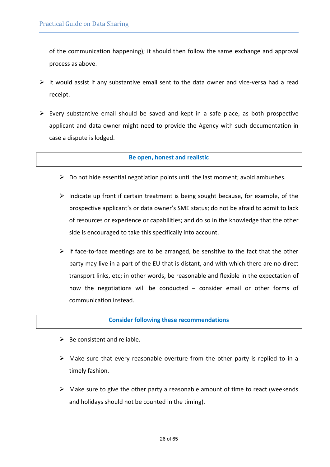of the communication happening); it should then follow the same exchange and approval process as above.

- $\triangleright$  It would assist if any substantive email sent to the data owner and vice-versa had a read receipt.
- $\triangleright$  Every substantive email should be saved and kept in a safe place, as both prospective applicant and data owner might need to provide the Agency with such documentation in case a dispute is lodged.

#### **Be open, honest and realistic**

- $\triangleright$  Do not hide essential negotiation points until the last moment; avoid ambushes.
- $\triangleright$  Indicate up front if certain treatment is being sought because, for example, of the prospective applicant's or data owner's SME status; do not be afraid to admit to lack of resources or experience or capabilities; and do so in the knowledge that the other side is encouraged to take this specifically into account.
- $\triangleright$  If face-to-face meetings are to be arranged, be sensitive to the fact that the other party may live in a part of the EU that is distant, and with which there are no direct transport links, etc; in other words, be reasonable and flexible in the expectation of how the negotiations will be conducted – consider email or other forms of communication instead.

#### **Consider following these recommendations**

- $\triangleright$  Be consistent and reliable.
- $\triangleright$  Make sure that every reasonable overture from the other party is replied to in a timely fashion.
- $\triangleright$  Make sure to give the other party a reasonable amount of time to react (weekends and holidays should not be counted in the timing).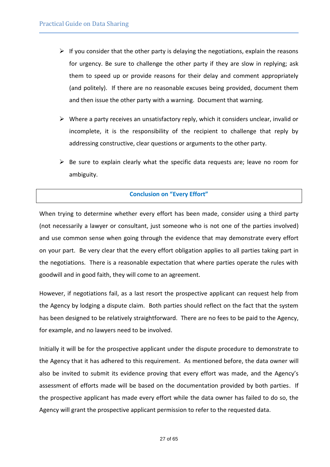- $\triangleright$  If you consider that the other party is delaying the negotiations, explain the reasons for urgency. Be sure to challenge the other party if they are slow in replying; ask them to speed up or provide reasons for their delay and comment appropriately (and politely). If there are no reasonable excuses being provided, document them and then issue the other party with a warning. Document that warning.
- $\triangleright$  Where a party receives an unsatisfactory reply, which it considers unclear, invalid or incomplete, it is the responsibility of the recipient to challenge that reply by addressing constructive, clear questions or arguments to the other party.
- $\triangleright$  Be sure to explain clearly what the specific data requests are; leave no room for ambiguity.

#### **Conclusion on "Every Effort"**

When trying to determine whether every effort has been made, consider using a third party (not necessarily a lawyer or consultant, just someone who is not one of the parties involved) and use common sense when going through the evidence that may demonstrate every effort on your part. Be very clear that the every effort obligation applies to all parties taking part in the negotiations. There is a reasonable expectation that where parties operate the rules with goodwill and in good faith, they will come to an agreement.

However, if negotiations fail, as a last resort the prospective applicant can request help from the Agency by lodging a dispute claim. Both parties should reflect on the fact that the system has been designed to be relatively straightforward. There are no fees to be paid to the Agency, for example, and no lawyers need to be involved.

Initially it will be for the prospective applicant under the dispute procedure to demonstrate to the Agency that it has adhered to this requirement. As mentioned before, the data owner will also be invited to submit its evidence proving that every effort was made, and the Agency's assessment of efforts made will be based on the documentation provided by both parties. If the prospective applicant has made every effort while the data owner has failed to do so, the Agency will grant the prospective applicant permission to refer to the requested data.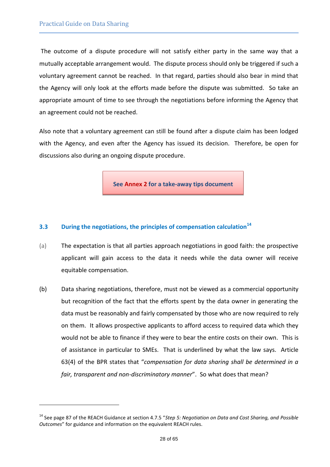l

The outcome of a dispute procedure will not satisfy either party in the same way that a mutually acceptable arrangement would. The dispute process should only be triggered if such a voluntary agreement cannot be reached. In that regard, parties should also bear in mind that the Agency will only look at the efforts made before the dispute was submitted. So take an appropriate amount of time to see through the negotiations before informing the Agency that an agreement could not be reached.

Also note that a voluntary agreement can still be found after a dispute claim has been lodged with the Agency, and even after the Agency has issued its decision. Therefore, be open for discussions also during an ongoing dispute procedure.

**See [Annex](#page-51-0) [2](#page-51-0) for a take-away tips document**

#### <span id="page-27-0"></span>**3.3 During the negotiations, the principles of compensation calculation<sup>14</sup>**

- (a) The expectation is that all parties approach negotiations in good faith: the prospective applicant will gain access to the data it needs while the data owner will receive equitable compensation.
- (b) Data sharing negotiations, therefore, must not be viewed as a commercial opportunity but recognition of the fact that the efforts spent by the data owner in generating the data must be reasonably and fairly compensated by those who are now required to rely on them. It allows prospective applicants to afford access to required data which they would not be able to finance if they were to bear the entire costs on their own. This is of assistance in particular to SMEs. That is underlined by what the law says. Article 63(4) of the BPR states that "*compensation for data sharing shall be determined in a fair, transparent and non-discriminatory manner*". So what does that mean?

<sup>14</sup> See page 87 of the REACH Guidance at section 4.7.5 "*Step 5: Negotiation on Data and Cost Sharing, and Possible Outcomes*" for guidance and information on the equivalent REACH rules.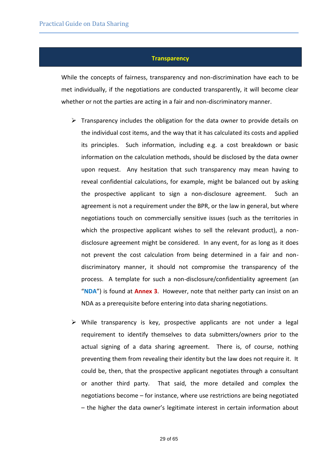#### **Transparency**

While the concepts of fairness, transparency and non-discrimination have each to be met individually, if the negotiations are conducted transparently, it will become clear whether or not the parties are acting in a fair and non-discriminatory manner.

- $\triangleright$  Transparency includes the obligation for the data owner to provide details on the individual cost items, and the way that it has calculated its costs and applied its principles. Such information, including e.g. a cost breakdown or basic information on the calculation methods, should be disclosed by the data owner upon request. Any hesitation that such transparency may mean having to reveal confidential calculations, for example, might be balanced out by asking the prospective applicant to sign a non-disclosure agreement. Such an agreement is not a requirement under the BPR, or the law in general, but where negotiations touch on commercially sensitive issues (such as the territories in which the prospective applicant wishes to sell the relevant product), a nondisclosure agreement might be considered. In any event, for as long as it does not prevent the cost calculation from being determined in a fair and nondiscriminatory manner, it should not compromise the transparency of the process. A template for such a non-disclosure/confidentiality agreement (an "**NDA**") is found at **[Annex](#page-52-0) [3](#page-52-0)**. However, note that neither party can insist on an NDA as a prerequisite before entering into data sharing negotiations.
- $\triangleright$  While transparency is key, prospective applicants are not under a legal requirement to identify themselves to data submitters/owners prior to the actual signing of a data sharing agreement. There is, of course, nothing preventing them from revealing their identity but the law does not require it. It could be, then, that the prospective applicant negotiates through a consultant or another third party. That said, the more detailed and complex the negotiations become – for instance, where use restrictions are being negotiated – the higher the data owner's legitimate interest in certain information about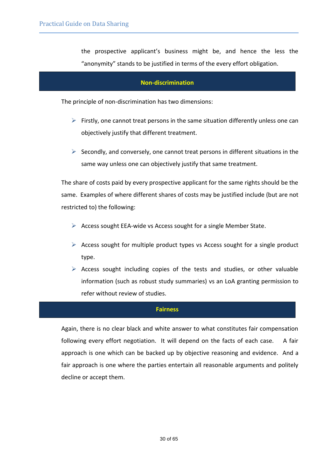the prospective applicant's business might be, and hence the less the "anonymity" stands to be justified in terms of the every effort obligation.

#### **Non-discrimination**

The principle of non-discrimination has two dimensions:

- $\triangleright$  Firstly, one cannot treat persons in the same situation differently unless one can objectively justify that different treatment.
- $\triangleright$  Secondly, and conversely, one cannot treat persons in different situations in the same way unless one can objectively justify that same treatment.

The share of costs paid by every prospective applicant for the same rights should be the same. Examples of where different shares of costs may be justified include (but are not restricted to) the following:

- $\triangleright$  Access sought EEA-wide vs Access sought for a single Member State.
- $\triangleright$  Access sought for multiple product types vs Access sought for a single product type.
- $\triangleright$  Access sought including copies of the tests and studies, or other valuable information (such as robust study summaries) vs an LoA granting permission to refer without review of studies.

#### **Fairness**

Again, there is no clear black and white answer to what constitutes fair compensation following every effort negotiation. It will depend on the facts of each case. A fair approach is one which can be backed up by objective reasoning and evidence. And a fair approach is one where the parties entertain all reasonable arguments and politely decline or accept them.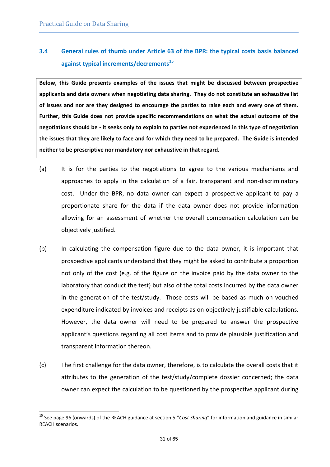l

# <span id="page-30-0"></span>**3.4 General rules of thumb under Article 63 of the BPR: the typical costs basis balanced against typical increments/decrements<sup>15</sup>**

**Below, this Guide presents examples of the issues that might be discussed between prospective applicants and data owners when negotiating data sharing. They do not constitute an exhaustive list of issues and nor are they designed to encourage the parties to raise each and every one of them. Further, this Guide does not provide specific recommendations on what the actual outcome of the negotiations should be - it seeks only to explain to parties not experienced in this type of negotiation the issues that they are likely to face and for which they need to be prepared. The Guide is intended neither to be prescriptive nor mandatory nor exhaustive in that regard.** 

- (a) It is for the parties to the negotiations to agree to the various mechanisms and approaches to apply in the calculation of a fair, transparent and non-discriminatory cost. Under the BPR, no data owner can expect a prospective applicant to pay a proportionate share for the data if the data owner does not provide information allowing for an assessment of whether the overall compensation calculation can be objectively justified.
- (b) In calculating the compensation figure due to the data owner, it is important that prospective applicants understand that they might be asked to contribute a proportion not only of the cost (e.g. of the figure on the invoice paid by the data owner to the laboratory that conduct the test) but also of the total costs incurred by the data owner in the generation of the test/study. Those costs will be based as much on vouched expenditure indicated by invoices and receipts as on objectively justifiable calculations. However, the data owner will need to be prepared to answer the prospective applicant's questions regarding all cost items and to provide plausible justification and transparent information thereon.
- (c) The first challenge for the data owner, therefore, is to calculate the overall costs that it attributes to the generation of the test/study/complete dossier concerned; the data owner can expect the calculation to be questioned by the prospective applicant during

<sup>15</sup> See page 96 (onwards) of the REACH guidance at section 5 "*Cost Sharing*" for information and guidance in similar REACH scenarios.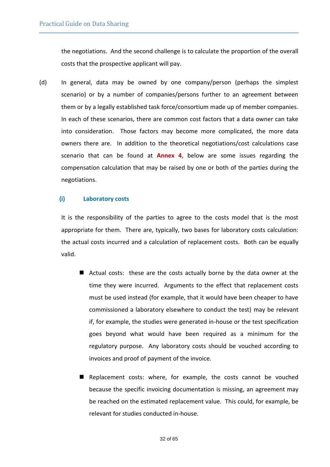the negotiations. And the second challenge is to calculate the proportion of the overall costs that the prospective applicant will pay.

(d) In general, data may be owned by one company/person (perhaps the simplest scenario) or by a number of companies/persons further to an agreement between them or by a legally established task force/consortium made up of member companies. In each of these scenarios, there are common cost factors that a data owner can take into consideration. Those factors may become more complicated, the more data owners there are. In addition to the theoretical negotiations/cost calculations case scenario that can be found at **[Annex](#page-57-0) [4](#page-57-0)**, below are some issues regarding the compensation calculation that may be raised by one or both of the parties during the negotiations.

#### **(i) Laboratory costs**

It is the responsibility of the parties to agree to the costs model that is the most appropriate for them. There are, typically, two bases for laboratory costs calculation: the actual costs incurred and a calculation of replacement costs. Both can be equally valid.

- Actual costs: these are the costs actually borne by the data owner at the time they were incurred. Arguments to the effect that replacement costs must be used instead (for example, that it would have been cheaper to have commissioned a laboratory elsewhere to conduct the test) may be relevant if, for example, the studies were generated in-house or the test specification goes beyond what would have been required as a minimum for the regulatory purpose. Any laboratory costs should be vouched according to invoices and proof of payment of the invoice.
- Replacement costs: where, for example, the costs cannot be vouched because the specific invoicing documentation is missing, an agreement may be reached on the estimated replacement value. This could, for example, be relevant for studies conducted in-house.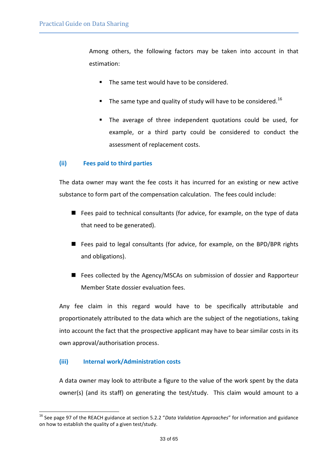Among others, the following factors may be taken into account in that estimation:

- The same test would have to be considered.
- The same type and quality of study will have to be considered.<sup>16</sup>
- The average of three independent quotations could be used, for example, or a third party could be considered to conduct the assessment of replacement costs.

#### **(ii) Fees paid to third parties**

The data owner may want the fee costs it has incurred for an existing or new active substance to form part of the compensation calculation. The fees could include:

- Fees paid to technical consultants (for advice, for example, on the type of data that need to be generated).
- Fees paid to legal consultants (for advice, for example, on the BPD/BPR rights and obligations).
- Fees collected by the Agency/MSCAs on submission of dossier and Rapporteur Member State dossier evaluation fees.

Any fee claim in this regard would have to be specifically attributable and proportionately attributed to the data which are the subject of the negotiations, taking into account the fact that the prospective applicant may have to bear similar costs in its own approval/authorisation process.

#### **(iii) Internal work/Administration costs**

l

A data owner may look to attribute a figure to the value of the work spent by the data owner(s) (and its staff) on generating the test/study. This claim would amount to a

<sup>16</sup> See page 97 of the REACH guidance at section 5.2.2 "*Data Validation Approaches*" for information and guidance on how to establish the quality of a given test/study.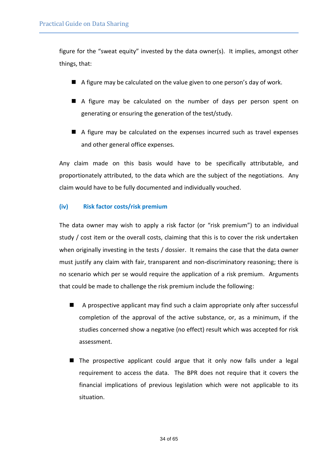figure for the "sweat equity" invested by the data owner(s). It implies, amongst other things, that:

- A figure may be calculated on the value given to one person's day of work.
- A figure may be calculated on the number of days per person spent on generating or ensuring the generation of the test/study.
- A figure may be calculated on the expenses incurred such as travel expenses and other general office expenses.

Any claim made on this basis would have to be specifically attributable, and proportionately attributed, to the data which are the subject of the negotiations. Any claim would have to be fully documented and individually vouched.

#### **(iv) Risk factor costs/risk premium**

The data owner may wish to apply a risk factor (or "risk premium") to an individual study / cost item or the overall costs, claiming that this is to cover the risk undertaken when originally investing in the tests / dossier. It remains the case that the data owner must justify any claim with fair, transparent and non-discriminatory reasoning; there is no scenario which per se would require the application of a risk premium. Arguments that could be made to challenge the risk premium include the following:

- A prospective applicant may find such a claim appropriate only after successful completion of the approval of the active substance, or, as a minimum, if the studies concerned show a negative (no effect) result which was accepted for risk assessment.
- $\blacksquare$  The prospective applicant could argue that it only now falls under a legal requirement to access the data. The BPR does not require that it covers the financial implications of previous legislation which were not applicable to its situation.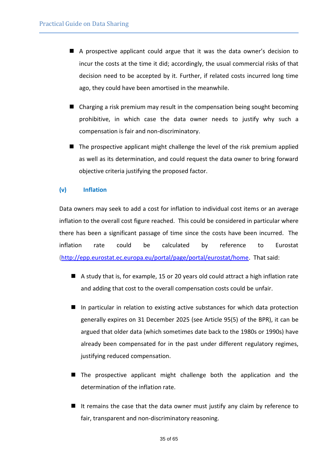- A prospective applicant could argue that it was the data owner's decision to incur the costs at the time it did; accordingly, the usual commercial risks of that decision need to be accepted by it. Further, if related costs incurred long time ago, they could have been amortised in the meanwhile.
- Charging a risk premium may result in the compensation being sought becoming prohibitive, in which case the data owner needs to justify why such a compensation is fair and non-discriminatory.
- $\blacksquare$  The prospective applicant might challenge the level of the risk premium applied as well as its determination, and could request the data owner to bring forward objective criteria justifying the proposed factor.

#### **(v) Inflation**

Data owners may seek to add a cost for inflation to individual cost items or an average inflation to the overall cost figure reached. This could be considered in particular where there has been a significant passage of time since the costs have been incurred. The inflation rate could be calculated by reference to Eurostat [\(http://epp.eurostat.ec.europa.eu/portal/page/portal/eurostat/home.](http://epp.eurostat.ec.europa.eu/portal/page/portal/eurostat/home) That said:

- A study that is, for example, 15 or 20 years old could attract a high inflation rate and adding that cost to the overall compensation costs could be unfair.
- In particular in relation to existing active substances for which data protection generally expires on 31 December 2025 (see Article 95(5) of the BPR), it can be argued that older data (which sometimes date back to the 1980s or 1990s) have already been compensated for in the past under different regulatory regimes, justifying reduced compensation.
- The prospective applicant might challenge both the application and the determination of the inflation rate.
- It remains the case that the data owner must justify any claim by reference to fair, transparent and non-discriminatory reasoning.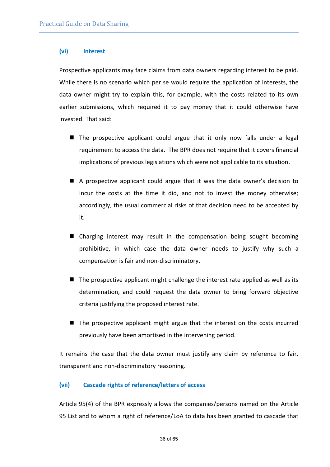#### **(vi) Interest**

Prospective applicants may face claims from data owners regarding interest to be paid. While there is no scenario which per se would require the application of interests, the data owner might try to explain this, for example, with the costs related to its own earlier submissions, which required it to pay money that it could otherwise have invested. That said:

- $\blacksquare$  The prospective applicant could argue that it only now falls under a legal requirement to access the data. The BPR does not require that it covers financial implications of previous legislations which were not applicable to its situation.
- A prospective applicant could argue that it was the data owner's decision to incur the costs at the time it did, and not to invest the money otherwise; accordingly, the usual commercial risks of that decision need to be accepted by it.
- Charging interest may result in the compensation being sought becoming prohibitive, in which case the data owner needs to justify why such a compensation is fair and non-discriminatory.
- $\blacksquare$  The prospective applicant might challenge the interest rate applied as well as its determination, and could request the data owner to bring forward objective criteria justifying the proposed interest rate.
- The prospective applicant might argue that the interest on the costs incurred previously have been amortised in the intervening period.

It remains the case that the data owner must justify any claim by reference to fair, transparent and non-discriminatory reasoning.

#### **(vii) Cascade rights of reference/letters of access**

Article 95(4) of the BPR expressly allows the companies/persons named on the Article 95 List and to whom a right of reference/LoA to data has been granted to cascade that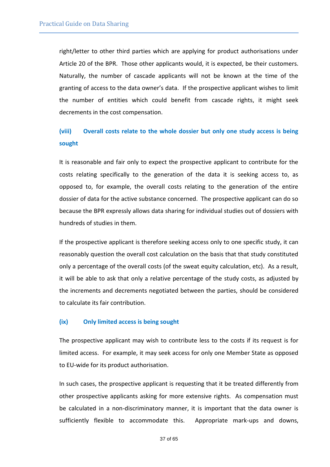right/letter to other third parties which are applying for product authorisations under Article 20 of the BPR. Those other applicants would, it is expected, be their customers. Naturally, the number of cascade applicants will not be known at the time of the granting of access to the data owner's data. If the prospective applicant wishes to limit the number of entities which could benefit from cascade rights, it might seek decrements in the cost compensation.

# **(viii) Overall costs relate to the whole dossier but only one study access is being sought**

It is reasonable and fair only to expect the prospective applicant to contribute for the costs relating specifically to the generation of the data it is seeking access to, as opposed to, for example, the overall costs relating to the generation of the entire dossier of data for the active substance concerned. The prospective applicant can do so because the BPR expressly allows data sharing for individual studies out of dossiers with hundreds of studies in them.

If the prospective applicant is therefore seeking access only to one specific study, it can reasonably question the overall cost calculation on the basis that that study constituted only a percentage of the overall costs (of the sweat equity calculation, etc). As a result, it will be able to ask that only a relative percentage of the study costs, as adjusted by the increments and decrements negotiated between the parties, should be considered to calculate its fair contribution.

#### **(ix) Only limited access is being sought**

The prospective applicant may wish to contribute less to the costs if its request is for limited access. For example, it may seek access for only one Member State as opposed to EU-wide for its product authorisation.

In such cases, the prospective applicant is requesting that it be treated differently from other prospective applicants asking for more extensive rights. As compensation must be calculated in a non-discriminatory manner, it is important that the data owner is sufficiently flexible to accommodate this. Appropriate mark-ups and downs,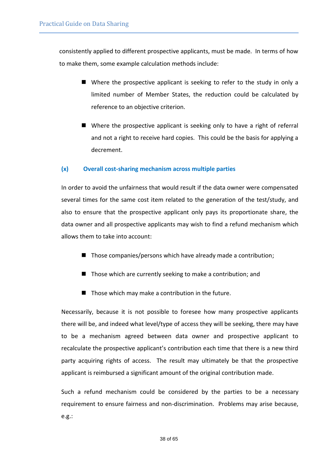consistently applied to different prospective applicants, must be made. In terms of how to make them, some example calculation methods include:

- Where the prospective applicant is seeking to refer to the study in only a limited number of Member States, the reduction could be calculated by reference to an objective criterion.
- Where the prospective applicant is seeking only to have a right of referral and not a right to receive hard copies. This could be the basis for applying a decrement.

#### **(x) Overall cost-sharing mechanism across multiple parties**

In order to avoid the unfairness that would result if the data owner were compensated several times for the same cost item related to the generation of the test/study, and also to ensure that the prospective applicant only pays its proportionate share, the data owner and all prospective applicants may wish to find a refund mechanism which allows them to take into account:

- $\blacksquare$  Those companies/persons which have already made a contribution;
- $\blacksquare$  Those which are currently seeking to make a contribution; and
- $\blacksquare$  Those which may make a contribution in the future.

Necessarily, because it is not possible to foresee how many prospective applicants there will be, and indeed what level/type of access they will be seeking, there may have to be a mechanism agreed between data owner and prospective applicant to recalculate the prospective applicant's contribution each time that there is a new third party acquiring rights of access. The result may ultimately be that the prospective applicant is reimbursed a significant amount of the original contribution made.

Such a refund mechanism could be considered by the parties to be a necessary requirement to ensure fairness and non-discrimination. Problems may arise because, e.g.: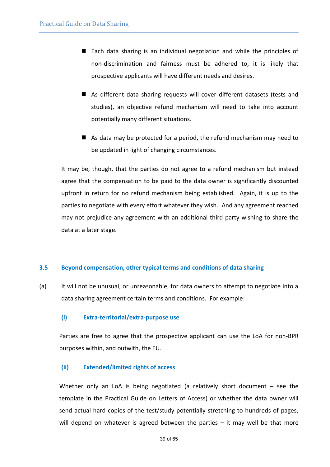- Each data sharing is an individual negotiation and while the principles of non-discrimination and fairness must be adhered to, it is likely that prospective applicants will have different needs and desires.
- As different data sharing requests will cover different datasets (tests and studies), an objective refund mechanism will need to take into account potentially many different situations.
- As data may be protected for a period, the refund mechanism may need to be updated in light of changing circumstances.

It may be, though, that the parties do not agree to a refund mechanism but instead agree that the compensation to be paid to the data owner is significantly discounted upfront in return for no refund mechanism being established. Again, it is up to the parties to negotiate with every effort whatever they wish. And any agreement reached may not prejudice any agreement with an additional third party wishing to share the data at a later stage.

#### <span id="page-38-0"></span>**3.5 Beyond compensation, other typical terms and conditions of data sharing**

(a) It will not be unusual, or unreasonable, for data owners to attempt to negotiate into a data sharing agreement certain terms and conditions. For example:

#### **(i) Extra-territorial/extra-purpose use**

Parties are free to agree that the prospective applicant can use the LoA for non-BPR purposes within, and outwith, the EU.

#### **(ii) Extended/limited rights of access**

Whether only an LoA is being negotiated (a relatively short document - see the template in the Practical Guide on Letters of Access) or whether the data owner will send actual hard copies of the test/study potentially stretching to hundreds of pages, will depend on whatever is agreed between the parties – it may well be that more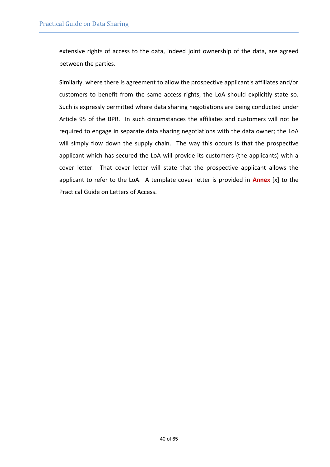extensive rights of access to the data, indeed joint ownership of the data, are agreed between the parties.

Similarly, where there is agreement to allow the prospective applicant's affiliates and/or customers to benefit from the same access rights, the LoA should explicitly state so. Such is expressly permitted where data sharing negotiations are being conducted under Article 95 of the BPR. In such circumstances the affiliates and customers will not be required to engage in separate data sharing negotiations with the data owner; the LoA will simply flow down the supply chain. The way this occurs is that the prospective applicant which has secured the LoA will provide its customers (the applicants) with a cover letter. That cover letter will state that the prospective applicant allows the applicant to refer to the LoA. A template cover letter is provided in **Annex** [x] to the Practical Guide on Letters of Access.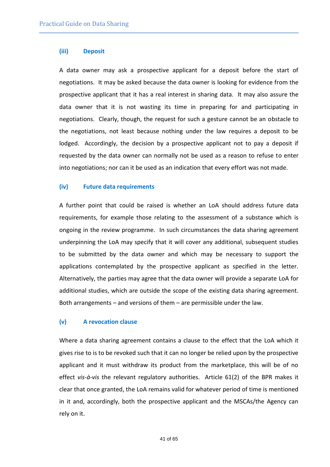#### **(iii) Deposit**

A data owner may ask a prospective applicant for a deposit before the start of negotiations. It may be asked because the data owner is looking for evidence from the prospective applicant that it has a real interest in sharing data. It may also assure the data owner that it is not wasting its time in preparing for and participating in negotiations. Clearly, though, the request for such a gesture cannot be an obstacle to the negotiations, not least because nothing under the law requires a deposit to be lodged. Accordingly, the decision by a prospective applicant not to pay a deposit if requested by the data owner can normally not be used as a reason to refuse to enter into negotiations; nor can it be used as an indication that every effort was not made.

#### **(iv) Future data requirements**

A further point that could be raised is whether an LoA should address future data requirements, for example those relating to the assessment of a substance which is ongoing in the review programme. In such circumstances the data sharing agreement underpinning the LoA may specify that it will cover any additional, subsequent studies to be submitted by the data owner and which may be necessary to support the applications contemplated by the prospective applicant as specified in the letter. Alternatively, the parties may agree that the data owner will provide a separate LoA for additional studies, which are outside the scope of the existing data sharing agreement. Both arrangements – and versions of them – are permissible under the law.

#### **(v) A revocation clause**

Where a data sharing agreement contains a clause to the effect that the LoA which it gives rise to is to be revoked such that it can no longer be relied upon by the prospective applicant and it must withdraw its product from the marketplace, this will be of no effect *vis-à-vis* the relevant regulatory authorities. Article 61(2) of the BPR makes it clear that once granted, the LoA remains valid for whatever period of time is mentioned in it and, accordingly, both the prospective applicant and the MSCAs/the Agency can rely on it.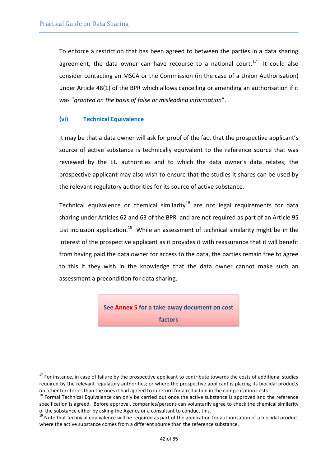To enforce a restriction that has been agreed to between the parties in a data sharing agreement, the data owner can have recourse to a national court.<sup>17</sup> It could also consider contacting an MSCA or the Commission (in the case of a Union Authorisation) under Article 48(1) of the BPR which allows cancelling or amending an authorisation if it was "*granted on the basis of false or misleading information*".

#### **(vi) Technical Equivalence**

l

It may be that a data owner will ask for proof of the fact that the prospective applicant's source of active substance is technically equivalent to the reference source that was reviewed by the EU authorities and to which the data owner's data relates; the prospective applicant may also wish to ensure that the studies it shares can be used by the relevant regulatory authorities for its source of active substance.

Technical equivalence or chemical similarity<sup>18</sup> are not legal requirements for data sharing under Articles 62 and 63 of the BPR and are not required as part of an Article 95 List inclusion application.<sup>19</sup> While an assessment of technical similarity might be in the interest of the prospective applicant as it provides it with reassurance that it will benefit from having paid the data owner for access to the data, the parties remain free to agree to this if they wish in the knowledge that the data owner cannot make such an assessment a precondition for data sharing.

> **See [Annex](#page-62-0) [5](#page-62-0) for a take-away document on cost factors**

 $17$  For instance, in case of failure by the prospective applicant to contribute towards the costs of additional studies required by the relevant regulatory authorities; or where the prospective applicant is placing its biocidal products on other territories than the ones it had agreed to in return for a reduction in the compensation costs.

<sup>&</sup>lt;sup>18</sup> Formal Technical Equivalence can only be carried out once the active substance is approved and the reference specification is agreed. Before approval, companies/persons can voluntarily agree to check the chemical similarity of the substance either by asking the Agency or a consultant to conduct this.

<sup>&</sup>lt;sup>19</sup> Note that technical equivalence will be required as part of the application for authorisation of a biocidal product where the active substance comes from a different source than the reference substance.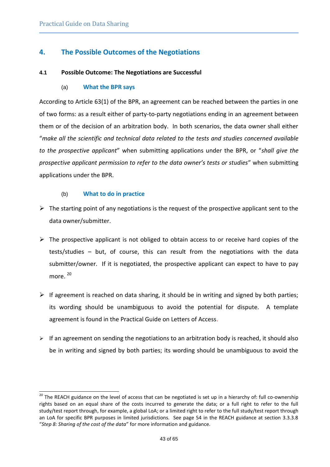# <span id="page-42-0"></span>**4. The Possible Outcomes of the Negotiations**

#### **4.1 Possible Outcome: The Negotiations are Successful**

#### (a) **What the BPR says**

According to Article 63(1) of the BPR, an agreement can be reached between the parties in one of two forms: as a result either of party-to-party negotiations ending in an agreement between them or of the decision of an arbitration body. In both scenarios, the data owner shall either "*make all the scientific and technical data related to the tests and studies concerned available to the prospective applicant*" when submitting applications under the BPR, or "*shall give the prospective applicant permission to refer to the data owner's tests or studies*" when submitting applications under the BPR.

#### (b) **What to do in practice**

l

- $\triangleright$  The starting point of any negotiations is the request of the prospective applicant sent to the data owner/submitter.
- $\triangleright$  The prospective applicant is not obliged to obtain access to or receive hard copies of the tests/studies – but, of course, this can result from the negotiations with the data submitter/owner. If it is negotiated, the prospective applicant can expect to have to pay more. <sup>20</sup>
- $\triangleright$  If agreement is reached on data sharing, it should be in writing and signed by both parties; its wording should be unambiguous to avoid the potential for dispute. A template agreement is found in the Practical Guide on Letters of Access.
- $\triangleright$  If an agreement on sending the negotiations to an arbitration body is reached, it should also be in writing and signed by both parties; its wording should be unambiguous to avoid the

<sup>&</sup>lt;sup>20</sup> The REACH guidance on the level of access that can be negotiated is set up in a hierarchy of: full co-ownership rights based on an equal share of the costs incurred to generate the data; or a full right to refer to the full study/test report through, for example, a global LoA; or a limited right to refer to the full study/test report through an LoA for specific BPR purposes in limited jurisdictions. See page 54 in the REACH guidance at section 3.3.3.8 "*Step 8: Sharing of the cost of the data*" for more information and guidance.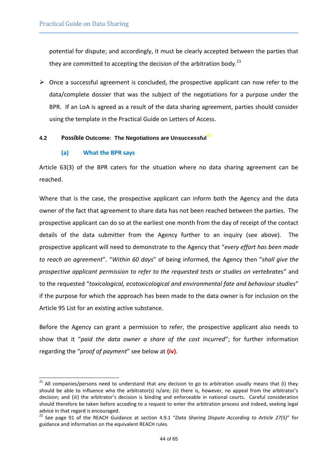potential for dispute; and accordingly, it must be clearly accepted between the parties that they are committed to accepting the decision of the arbitration body.<sup>21</sup>

 $\triangleright$  Once a successful agreement is concluded, the prospective applicant can now refer to the data/complete dossier that was the subject of the negotiations for a purpose under the BPR. If an LoA is agreed as a result of the data sharing agreement, parties should consider using the template in the Practical Guide on Letters of Access.

#### **4.2 Possible Outcome: The Negotiations are Unsuccessful<sup>22</sup>**

#### **(a) What the BPR says**

l

Article 63(3) of the BPR caters for the situation where no data sharing agreement can be reached.

Where that is the case, the prospective applicant can inform both the Agency and the data owner of the fact that agreement to share data has not been reached between the parties. The prospective applicant can do so at the earliest one month from the day of receipt of the contact details of the data submitter from the Agency further to an inquiry (see above). The prospective applicant will need to demonstrate to the Agency that "*every effort has been made to reach an agreement*". "*Within 60 days*" of being informed, the Agency then "*shall give the prospective applicant permission to refer to the requested tests or studies on vertebrates*" and to the requested "*toxicological, ecotoxicological and environmental fate and behaviour studies*" if the purpose for which the approach has been made to the data owner is for inclusion on the Article 95 List for an existing active substance.

Before the Agency can grant a permission to refer, the prospective applicant also needs to show that it "*paid the data owner a share of the cost incurred*"; for further information regarding the "*proof of payment*" see below at **(iv)**.

 $^{21}$  All companies/persons need to understand that any decision to go to arbitration usually means that (i) they should be able to influence who the arbitrator(s) is/are; (ii) there is, however, no appeal from the arbitrator's decision; and (iii) the arbitrator's decision is binding and enforceable in national courts. Careful consideration should therefore be taken before acceding to a request to enter the arbitration process and indeed, seeking legal advice in that regard is encouraged.

<sup>22</sup> See page 91 of the REACH Guidance at section 4.9.1 "*Data Sharing Dispute According to Article 27(5)*" for guidance and information on the equivalent REACH rules.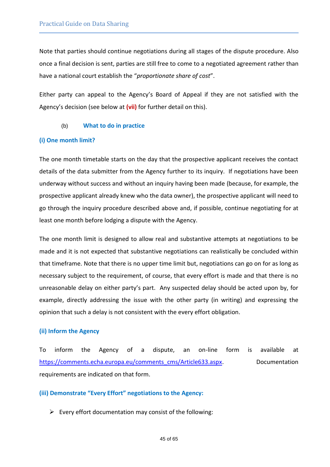Note that parties should continue negotiations during all stages of the dispute procedure. Also once a final decision is sent, parties are still free to come to a negotiated agreement rather than have a national court establish the "*proportionate share of cost*".

Either party can appeal to the Agency's Board of Appeal if they are not satisfied with the Agency's decision (see below at **(vii)** for further detail on this).

(b) **What to do in practice**

#### **(i) One month limit?**

The one month timetable starts on the day that the prospective applicant receives the contact details of the data submitter from the Agency further to its inquiry. If negotiations have been underway without success and without an inquiry having been made (because, for example, the prospective applicant already knew who the data owner), the prospective applicant will need to go through the inquiry procedure described above and, if possible, continue negotiating for at least one month before lodging a dispute with the Agency.

The one month limit is designed to allow real and substantive attempts at negotiations to be made and it is not expected that substantive negotiations can realistically be concluded within that timeframe. Note that there is no upper time limit but, negotiations can go on for as long as necessary subject to the requirement, of course, that every effort is made and that there is no unreasonable delay on either party's part. Any suspected delay should be acted upon by, for example, directly addressing the issue with the other party (in writing) and expressing the opinion that such a delay is not consistent with the every effort obligation.

#### **(ii) Inform the Agency**

To inform the Agency of a dispute, an on-line form is available at [https://comments.echa.europa.eu/comments\\_cms/Article633.aspx.](https://comments.echa.europa.eu/comments_cms/Article633.aspx) Documentation requirements are indicated on that form.

#### **(iii) Demonstrate "Every Effort" negotiations to the Agency:**

 $\triangleright$  Every effort documentation may consist of the following: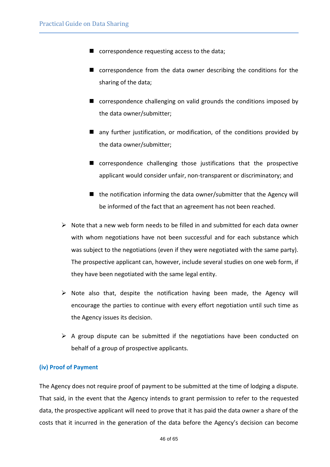- correspondence requesting access to the data;
- correspondence from the data owner describing the conditions for the sharing of the data;
- correspondence challenging on valid grounds the conditions imposed by the data owner/submitter;
- any further justification, or modification, of the conditions provided by the data owner/submitter;
- correspondence challenging those justifications that the prospective applicant would consider unfair, non-transparent or discriminatory; and
- $\blacksquare$  the notification informing the data owner/submitter that the Agency will be informed of the fact that an agreement has not been reached.
- $\triangleright$  Note that a new web form needs to be filled in and submitted for each data owner with whom negotiations have not been successful and for each substance which was subject to the negotiations (even if they were negotiated with the same party). The prospective applicant can, however, include several studies on one web form, if they have been negotiated with the same legal entity.
- $\triangleright$  Note also that, despite the notification having been made, the Agency will encourage the parties to continue with every effort negotiation until such time as the Agency issues its decision.
- $\triangleright$  A group dispute can be submitted if the negotiations have been conducted on behalf of a group of prospective applicants.

#### **(iv) Proof of Payment**

The Agency does not require proof of payment to be submitted at the time of lodging a dispute. That said, in the event that the Agency intends to grant permission to refer to the requested data, the prospective applicant will need to prove that it has paid the data owner a share of the costs that it incurred in the generation of the data before the Agency's decision can become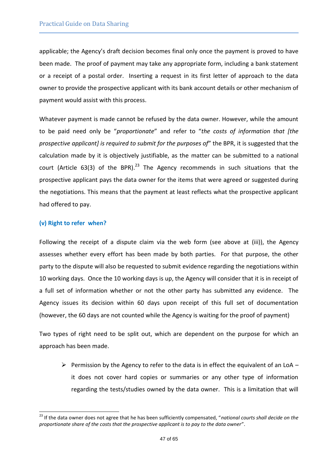applicable; the Agency's draft decision becomes final only once the payment is proved to have been made. The proof of payment may take any appropriate form, including a bank statement or a receipt of a postal order. Inserting a request in its first letter of approach to the data owner to provide the prospective applicant with its bank account details or other mechanism of payment would assist with this process.

Whatever payment is made cannot be refused by the data owner. However, while the amount to be paid need only be "*proportionate*" and refer to "*the costs of information that [the prospective applicant] is required to submit for the purposes of*" the BPR, it is suggested that the calculation made by it is objectively justifiable, as the matter can be submitted to a national court (Article 63(3) of the BPR). $^{23}$  The Agency recommends in such situations that the prospective applicant pays the data owner for the items that were agreed or suggested during the negotiations. This means that the payment at least reflects what the prospective applicant had offered to pay.

#### **(v) Right to refer when?**

l

Following the receipt of a dispute claim via the web form (see above at (iii)), the Agency assesses whether every effort has been made by both parties. For that purpose, the other party to the dispute will also be requested to submit evidence regarding the negotiations within 10 working days. Once the 10 working days is up, the Agency will consider that it is in receipt of a full set of information whether or not the other party has submitted any evidence. The Agency issues its decision within 60 days upon receipt of this full set of documentation (however, the 60 days are not counted while the Agency is waiting for the proof of payment)

Two types of right need to be split out, which are dependent on the purpose for which an approach has been made.

Permission by the Agency to refer to the data is in effect the equivalent of an LoA – it does not cover hard copies or summaries or any other type of information regarding the tests/studies owned by the data owner. This is a limitation that will

<sup>23</sup> If the data owner does not agree that he has been sufficiently compensated, "*national courts shall decide on the proportionate share of the costs that the prospective applicant is to pay to the data owner*".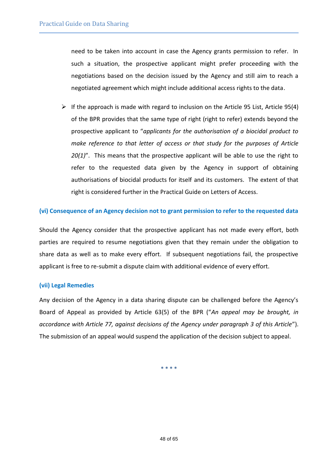need to be taken into account in case the Agency grants permission to refer. In such a situation, the prospective applicant might prefer proceeding with the negotiations based on the decision issued by the Agency and still aim to reach a negotiated agreement which might include additional access rights to the data.

 $\triangleright$  If the approach is made with regard to inclusion on the Article 95 List, Article 95(4) of the BPR provides that the same type of right (right to refer) extends beyond the prospective applicant to "*applicants for the authorisation of a biocidal product to make reference to that letter of access or that study for the purposes of Article 20(1)*". This means that the prospective applicant will be able to use the right to refer to the requested data given by the Agency in support of obtaining authorisations of biocidal products for itself and its customers. The extent of that right is considered further in the Practical Guide on Letters of Access.

#### **(vi) Consequence of an Agency decision not to grant permission to refer to the requested data**

Should the Agency consider that the prospective applicant has not made every effort, both parties are required to resume negotiations given that they remain under the obligation to share data as well as to make every effort. If subsequent negotiations fail, the prospective applicant is free to re-submit a dispute claim with additional evidence of every effort.

#### **(vii) Legal Remedies**

Any decision of the Agency in a data sharing dispute can be challenged before the Agency's Board of Appeal as provided by Article 63(5) of the BPR ("*An appeal may be brought, in accordance with Article 77, against decisions of the Agency under paragraph 3 of this Article*"). The submission of an appeal would suspend the application of the decision subject to appeal.

**\* \* \* \***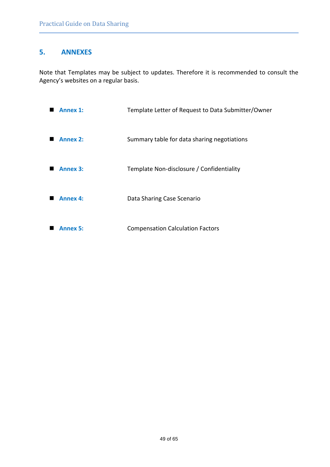# <span id="page-48-0"></span>**5. ANNEXES**

Note that Templates may be subject to updates. Therefore it is recommended to consult the Agency's websites on a regular basis.

| <b>Annex 1:</b> | Template Letter of Request to Data Submitter/Owner |
|-----------------|----------------------------------------------------|
| <b>Annex 2:</b> | Summary table for data sharing negotiations        |
| <b>Annex 3:</b> | Template Non-disclosure / Confidentiality          |
| <b>Annex 4:</b> | Data Sharing Case Scenario                         |
| Annex 5:        | <b>Compensation Calculation Factors</b>            |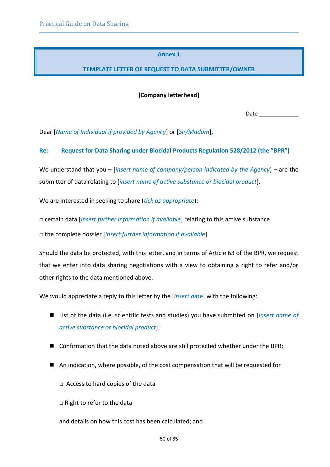#### **Annex 1**

### <span id="page-49-0"></span>**TEMPLATE LETTER OF REQUEST TO DATA SUBMITTER/OWNER**

**[Company letterhead]**

Date  $\qquad \qquad \blacksquare$ 

Dear [*Name of Individual if provided by Agency*] or [*Sir/Madam*],

#### **Re: Request for Data Sharing under Biocidal Products Regulation 528/2012 (the "BPR")**

We understand that you – [*insert name of company/person indicated by the Agency*] – are the submitter of data relating to [*insert name of active substance or biocidal product*].

We are interested in seeking to share (*tick as appropriate*):

□ certain data [*insert further information if available*] relating to this active substance

□ the complete dossier [*insert further information if available*]

Should the data be protected, with this letter, and in terms of Article 63 of the BPR, we request that we enter into data sharing negotiations with a view to obtaining a right to refer and/or other rights to the data mentioned above.

We would appreciate a reply to this letter by the [*insert d*ate] with the following:

- List of the data (i.e. scientific tests and studies) you have submitted on [*insert name of active substance or biocidal product*];
- Confirmation that the data noted above are still protected whether under the BPR;
- An indication, where possible, of the cost compensation that will be requested for
	- $\Box$  Access to hard copies of the data
	- □ Right to refer to the data

and details on how this cost has been calculated; and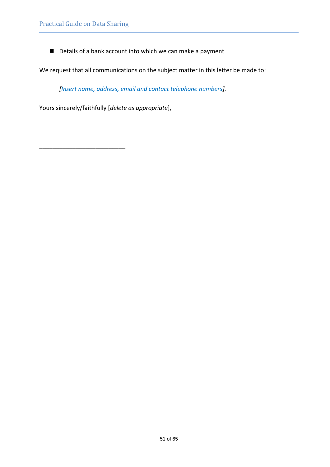\_\_\_\_\_\_\_\_\_\_\_\_\_\_\_\_\_\_\_\_\_\_\_\_\_\_

■ Details of a bank account into which we can make a payment

We request that all communications on the subject matter in this letter be made to:

*[Insert name, address, email and contact telephone numbers].*

Yours sincerely/faithfully [*delete as appropriate*],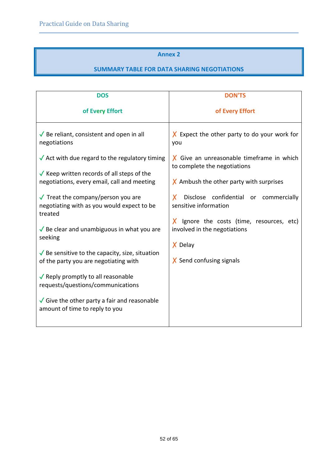#### **Annex 2**

#### **SUMMARY TABLE FOR DATA SHARING NEGOTIATIONS**

<span id="page-51-0"></span>

| <b>DOS</b>                                                                                                                                                    | <b>DON'TS</b>                                                                                                               |  |
|---------------------------------------------------------------------------------------------------------------------------------------------------------------|-----------------------------------------------------------------------------------------------------------------------------|--|
| of Every Effort                                                                                                                                               | of Every Effort                                                                                                             |  |
| $\sqrt{\ }$ Be reliant, consistent and open in all<br>negotiations                                                                                            | $X$ Expect the other party to do your work for<br>you                                                                       |  |
| $\sqrt{\ }$ Act with due regard to the regulatory timing<br>$\sqrt{}$ Keep written records of all steps of the<br>negotiations, every email, call and meeting | $X$ Give an unreasonable timeframe in which<br>to complete the negotiations<br>$\chi$ Ambush the other party with surprises |  |
| $\sqrt{\ }$ Treat the company/person you are<br>negotiating with as you would expect to be<br>treated                                                         | Disclose confidential or commercially<br>X.<br>sensitive information                                                        |  |
| $\sqrt{}$ Be clear and unambiguous in what you are<br>seeking                                                                                                 | $X$ Ignore the costs (time, resources, etc)<br>involved in the negotiations<br>X Delay                                      |  |
| $\sqrt{}$ Be sensitive to the capacity, size, situation<br>of the party you are negotiating with                                                              | $X$ Send confusing signals                                                                                                  |  |
| $\sqrt{}$ Reply promptly to all reasonable<br>requests/questions/communications                                                                               |                                                                                                                             |  |
| $\sqrt{\frac{1}{2}}$ Give the other party a fair and reasonable<br>amount of time to reply to you                                                             |                                                                                                                             |  |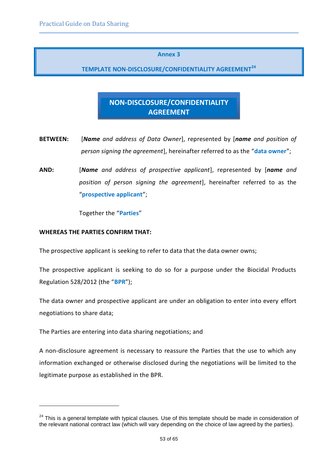#### **Annex 3**

# <span id="page-52-0"></span>**TEMPLATE NON-DISCLOSURE/CONFIDENTIALITY AGREEMENT<sup>24</sup>**

# **NON-DISCLOSURE/CONFIDENTIALITY AGREEMENT**

- **BETWEEN:** [*Name and address of Data Owner*], represented by [*name and position of person signing the agreement*], hereinafter referred to as the "**data owner**";
- **AND:** [*Name and address of prospective applicant*], represented by [*name and position of person signing the agreement*], hereinafter referred to as the "**prospective applicant**";

Together the "**Parties**"

#### **WHEREAS THE PARTIES CONFIRM THAT:**

l

The prospective applicant is seeking to refer to data that the data owner owns;

The prospective applicant is seeking to do so for a purpose under the Biocidal Products Regulation 528/2012 (the "**BPR**");

The data owner and prospective applicant are under an obligation to enter into every effort negotiations to share data;

The Parties are entering into data sharing negotiations; and

A non-disclosure agreement is necessary to reassure the Parties that the use to which any information exchanged or otherwise disclosed during the negotiations will be limited to the legitimate purpose as established in the BPR.

<sup>&</sup>lt;sup>24</sup> This is a general template with typical clauses. Use of this template should be made in consideration of the relevant national contract law (which will vary depending on the choice of law agreed by the parties).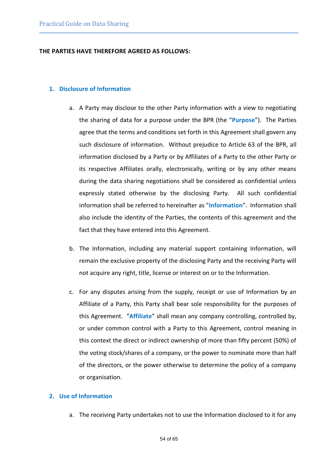#### **THE PARTIES HAVE THEREFORE AGREED AS FOLLOWS:**

#### **1. Disclosure of Information**

- a. A Party may disclose to the other Party information with a view to negotiating the sharing of data for a purpose under the BPR (the "**Purpose**"). The Parties agree that the terms and conditions set forth in this Agreement shall govern any such disclosure of information. Without prejudice to Article 63 of the BPR, all information disclosed by a Party or by Affiliates of a Party to the other Party or its respective Affiliates orally, electronically, writing or by any other means during the data sharing negotiations shall be considered as confidential unless expressly stated otherwise by the disclosing Party. All such confidential information shall be referred to hereinafter as "**Information**". Information shall also include the identity of the Parties, the contents of this agreement and the fact that they have entered into this Agreement.
- b. The Information, including any material support containing Information, will remain the exclusive property of the disclosing Party and the receiving Party will not acquire any right, title, license or interest on or to the Information.
- c. For any disputes arising from the supply, receipt or use of Information by an Affiliate of a Party, this Party shall bear sole responsibility for the purposes of this Agreement. "**Affiliate**" shall mean any company controlling, controlled by, or under common control with a Party to this Agreement, control meaning in this context the direct or indirect ownership of more than fifty percent (50%) of the voting stock/shares of a company, or the power to nominate more than half of the directors, or the power otherwise to determine the policy of a company or organisation.

#### **2. Use of Information**

a. The receiving Party undertakes not to use the Information disclosed to it for any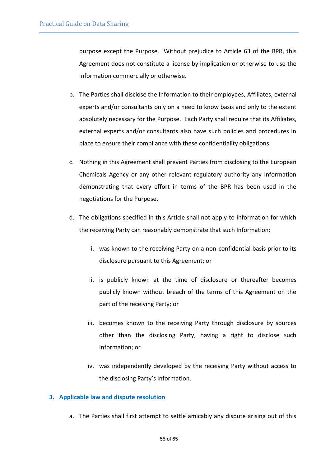purpose except the Purpose. Without prejudice to Article 63 of the BPR, this Agreement does not constitute a license by implication or otherwise to use the Information commercially or otherwise.

- b. The Parties shall disclose the Information to their employees, Affiliates, external experts and/or consultants only on a need to know basis and only to the extent absolutely necessary for the Purpose. Each Party shall require that its Affiliates, external experts and/or consultants also have such policies and procedures in place to ensure their compliance with these confidentiality obligations.
- c. Nothing in this Agreement shall prevent Parties from disclosing to the European Chemicals Agency or any other relevant regulatory authority any Information demonstrating that every effort in terms of the BPR has been used in the negotiations for the Purpose.
- d. The obligations specified in this Article shall not apply to Information for which the receiving Party can reasonably demonstrate that such Information:
	- i. was known to the receiving Party on a non-confidential basis prior to its disclosure pursuant to this Agreement; or
	- ii. is publicly known at the time of disclosure or thereafter becomes publicly known without breach of the terms of this Agreement on the part of the receiving Party; or
	- iii. becomes known to the receiving Party through disclosure by sources other than the disclosing Party, having a right to disclose such Information; or
	- iv. was independently developed by the receiving Party without access to the disclosing Party's Information.

#### **3. Applicable law and dispute resolution**

a. The Parties shall first attempt to settle amicably any dispute arising out of this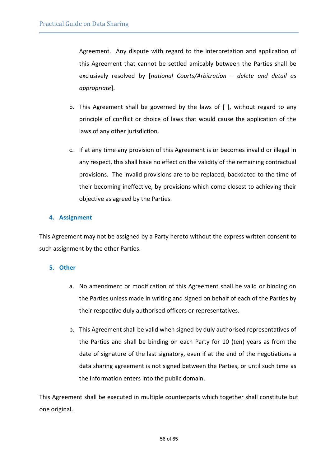Agreement. Any dispute with regard to the interpretation and application of this Agreement that cannot be settled amicably between the Parties shall be exclusively resolved by [*national Courts/Arbitration* – *delete and detail as appropriate*].

- b. This Agreement shall be governed by the laws of [ ], without regard to any principle of conflict or choice of laws that would cause the application of the laws of any other jurisdiction.
- c. If at any time any provision of this Agreement is or becomes invalid or illegal in any respect, this shall have no effect on the validity of the remaining contractual provisions. The invalid provisions are to be replaced, backdated to the time of their becoming ineffective, by provisions which come closest to achieving their objective as agreed by the Parties.

#### **4. Assignment**

This Agreement may not be assigned by a Party hereto without the express written consent to such assignment by the other Parties.

#### **5. Other**

- a. No amendment or modification of this Agreement shall be valid or binding on the Parties unless made in writing and signed on behalf of each of the Parties by their respective duly authorised officers or representatives.
- b. This Agreement shall be valid when signed by duly authorised representatives of the Parties and shall be binding on each Party for 10 (ten) years as from the date of signature of the last signatory, even if at the end of the negotiations a data sharing agreement is not signed between the Parties, or until such time as the Information enters into the public domain.

This Agreement shall be executed in multiple counterparts which together shall constitute but one original.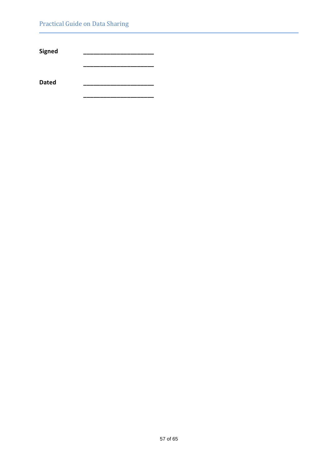L

**Signed \_\_\_\_\_\_\_\_\_\_\_\_\_\_\_\_\_\_\_\_\_**

**\_\_\_\_\_\_\_\_\_\_\_\_\_\_\_\_\_\_\_\_\_**

**\_\_\_\_\_\_\_\_\_\_\_\_\_\_\_\_\_\_\_\_\_**

**Dated \_\_\_\_\_\_\_\_\_\_\_\_\_\_\_\_\_\_\_\_\_**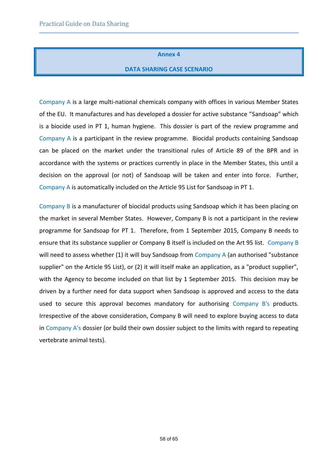#### **Annex 4**

#### **DATA SHARING CASE SCENARIO**

<span id="page-57-0"></span>Company A is a large multi-national chemicals company with offices in various Member States of the EU. It manufactures and has developed a dossier for active substance "Sandsoap" which is a biocide used in PT 1, human hygiene. This dossier is part of the review programme and Company A is a participant in the review programme. Biocidal products containing Sandsoap can be placed on the market under the transitional rules of Article 89 of the BPR and in accordance with the systems or practices currently in place in the Member States, this until a decision on the approval (or not) of Sandsoap will be taken and enter into force. Further, Company A is automatically included on the Article 95 List for Sandsoap in PT 1.

Company B is a manufacturer of biocidal products using Sandsoap which it has been placing on the market in several Member States. However, Company B is not a participant in the review programme for Sandsoap for PT 1. Therefore, from 1 September 2015, Company B needs to ensure that its substance supplier or Company B itself is included on the Art 95 list. Company B will need to assess whether (1) it will buy Sandsoap from Company A (an authorised "substance supplier" on the Article 95 List), or (2) it will itself make an application, as a "product supplier", with the Agency to become included on that list by 1 September 2015. This decision may be driven by a further need for data support when Sandsoap is approved and access to the data used to secure this approval becomes mandatory for authorising Company B's products. Irrespective of the above consideration, Company B will need to explore buying access to data in Company A's dossier (or build their own dossier subject to the limits with regard to repeating vertebrate animal tests).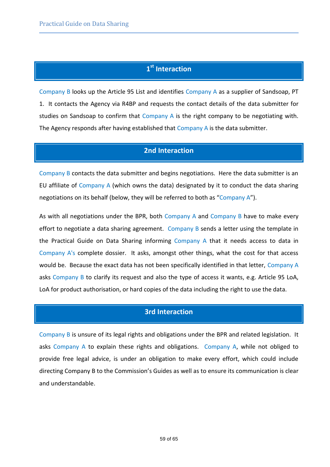# **1 st Interaction**

Company B looks up the Article 95 List and identifies Company A as a supplier of Sandsoap, PT 1. It contacts the Agency via R4BP and requests the contact details of the data submitter for studies on Sandsoap to confirm that Company A is the right company to be negotiating with. The Agency responds after having established that Company A is the data submitter.

# **2nd Interaction**

Company B contacts the data submitter and begins negotiations. Here the data submitter is an EU affiliate of Company A (which owns the data) designated by it to conduct the data sharing negotiations on its behalf (below, they will be referred to both as "Company A").

As with all negotiations under the BPR, both Company A and Company B have to make every effort to negotiate a data sharing agreement. Company B sends a letter using the template in the Practical Guide on Data Sharing informing Company A that it needs access to data in Company A's complete dossier. It asks, amongst other things, what the cost for that access would be. Because the exact data has not been specifically identified in that letter, Company A asks Company B to clarify its request and also the type of access it wants, e.g. Article 95 LoA, LoA for product authorisation, or hard copies of the data including the right to use the data.

# **3rd Interaction**

Company B is unsure of its legal rights and obligations under the BPR and related legislation. It asks Company A to explain these rights and obligations. Company A, while not obliged to provide free legal advice, is under an obligation to make every effort, which could include directing Company B to the Commission's Guides as well as to ensure its communication is clear and understandable.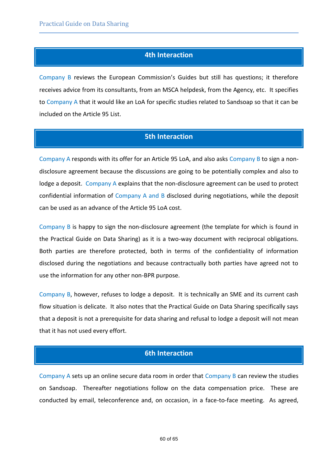# **4th Interaction**

Company B reviews the European Commission's Guides but still has questions; it therefore receives advice from its consultants, from an MSCA helpdesk, from the Agency, etc. It specifies to Company A that it would like an LoA for specific studies related to Sandsoap so that it can be included on the Article 95 List.

# **5th Interaction**

Company A responds with its offer for an Article 95 LoA, and also asks Company B to sign a nondisclosure agreement because the discussions are going to be potentially complex and also to lodge a deposit. Company A explains that the non-disclosure agreement can be used to protect confidential information of Company A and B disclosed during negotiations, while the deposit can be used as an advance of the Article 95 LoA cost.

Company B is happy to sign the non-disclosure agreement (the template for which is found in the Practical Guide on Data Sharing) as it is a two-way document with reciprocal obligations. Both parties are therefore protected, both in terms of the confidentiality of information disclosed during the negotiations and because contractually both parties have agreed not to use the information for any other non-BPR purpose.

Company B, however, refuses to lodge a deposit. It is technically an SME and its current cash flow situation is delicate. It also notes that the Practical Guide on Data Sharing specifically says that a deposit is not a prerequisite for data sharing and refusal to lodge a deposit will not mean that it has not used every effort.

# **6th Interaction**

Company A sets up an online secure data room in order that Company B can review the studies on Sandsoap. Thereafter negotiations follow on the data compensation price. These are conducted by email, teleconference and, on occasion, in a face-to-face meeting. As agreed,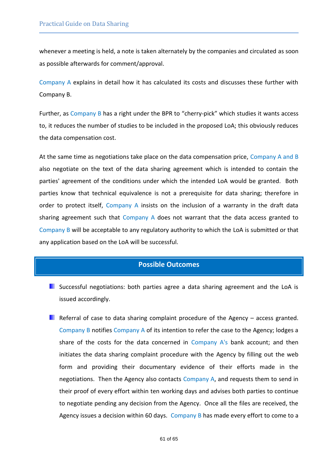whenever a meeting is held, a note is taken alternately by the companies and circulated as soon as possible afterwards for comment/approval.

Company A explains in detail how it has calculated its costs and discusses these further with Company B.

Further, as Company B has a right under the BPR to "cherry-pick" which studies it wants access to, it reduces the number of studies to be included in the proposed LoA; this obviously reduces the data compensation cost.

At the same time as negotiations take place on the data compensation price, Company A and B also negotiate on the text of the data sharing agreement which is intended to contain the parties' agreement of the conditions under which the intended LoA would be granted. Both parties know that technical equivalence is not a prerequisite for data sharing; therefore in order to protect itself, Company A insists on the inclusion of a warranty in the draft data sharing agreement such that Company A does not warrant that the data access granted to Company B will be acceptable to any regulatory authority to which the LoA is submitted or that any application based on the LoA will be successful.

# **Possible Outcomes**

- Successful negotiations: both parties agree a data sharing agreement and the LoA is issued accordingly.
- Referral of case to data sharing complaint procedure of the Agency  $-$  access granted. Company B notifies Company A of its intention to refer the case to the Agency; lodges a share of the costs for the data concerned in Company  $A<sup>'</sup>s$  bank account; and then initiates the data sharing complaint procedure with the Agency by filling out the web form and providing their documentary evidence of their efforts made in the negotiations. Then the Agency also contacts Company A, and requests them to send in their proof of every effort within ten working days and advises both parties to continue to negotiate pending any decision from the Agency. Once all the files are received, the Agency issues a decision within 60 days. Company B has made every effort to come to a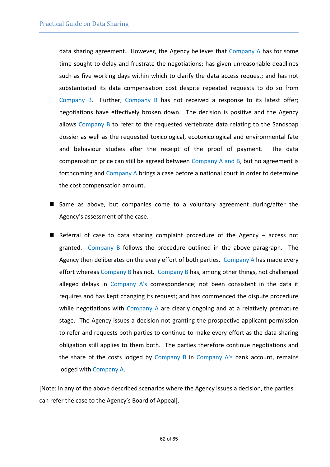data sharing agreement. However, the Agency believes that Company A has for some time sought to delay and frustrate the negotiations; has given unreasonable deadlines such as five working days within which to clarify the data access request; and has not substantiated its data compensation cost despite repeated requests to do so from Company B. Further, Company B has not received a response to its latest offer; negotiations have effectively broken down. The decision is positive and the Agency allows Company B to refer to the requested vertebrate data relating to the Sandsoap dossier as well as the requested toxicological, ecotoxicological and environmental fate and behaviour studies after the receipt of the proof of payment. The data compensation price can still be agreed between Company A and B, but no agreement is forthcoming and Company A brings a case before a national court in order to determine the cost compensation amount.

- Same as above, but companies come to a voluntary agreement during/after the Agency's assessment of the case.
- Referral of case to data sharing complaint procedure of the Agency  $-$  access not granted. Company B follows the procedure outlined in the above paragraph. The Agency then deliberates on the every effort of both parties. Company A has made every effort whereas Company B has not. Company B has, among other things, not challenged alleged delays in Company A's correspondence; not been consistent in the data it requires and has kept changing its request; and has commenced the dispute procedure while negotiations with Company A are clearly ongoing and at a relatively premature stage. The Agency issues a decision not granting the prospective applicant permission to refer and requests both parties to continue to make every effort as the data sharing obligation still applies to them both. The parties therefore continue negotiations and the share of the costs lodged by Company B in Company A's bank account, remains lodged with Company A.

[Note: in any of the above described scenarios where the Agency issues a decision, the parties can refer the case to the Agency's Board of Appeal].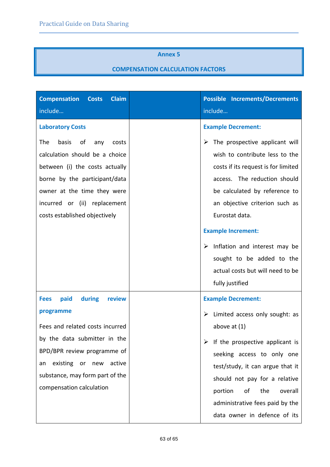#### **Annex 5**

# **COMPENSATION CALCULATION FACTORS**

<span id="page-62-0"></span>

| <b>Claim</b><br><b>Compensation</b><br><b>Costs</b>                                                                                                                                                                                                         | <b>Possible Increments/Decrements</b>                                                                                                                                                                                                                                                                                                                                                                            |
|-------------------------------------------------------------------------------------------------------------------------------------------------------------------------------------------------------------------------------------------------------------|------------------------------------------------------------------------------------------------------------------------------------------------------------------------------------------------------------------------------------------------------------------------------------------------------------------------------------------------------------------------------------------------------------------|
| include                                                                                                                                                                                                                                                     | include                                                                                                                                                                                                                                                                                                                                                                                                          |
| <b>Laboratory Costs</b>                                                                                                                                                                                                                                     | <b>Example Decrement:</b>                                                                                                                                                                                                                                                                                                                                                                                        |
| basis<br>οf<br>The<br>any<br>costs<br>calculation should be a choice<br>between (i) the costs actually<br>borne by the participant/data<br>owner at the time they were<br>incurred or (ii) replacement<br>costs established objectively                     | $\triangleright$ The prospective applicant will<br>wish to contribute less to the<br>costs if its request is for limited<br>access. The reduction should<br>be calculated by reference to<br>an objective criterion such as<br>Eurostat data.<br><b>Example Increment:</b><br>$\triangleright$ Inflation and interest may be<br>sought to be added to the<br>actual costs but will need to be<br>fully justified |
| during<br>paid<br>review<br><b>Fees</b><br>programme<br>Fees and related costs incurred<br>by the data submitter in the<br>BPD/BPR review programme of<br>existing or<br>active<br>new<br>an<br>substance, may form part of the<br>compensation calculation | <b>Example Decrement:</b><br>$\triangleright$ Limited access only sought: as<br>above at $(1)$<br>$\triangleright$ If the prospective applicant is<br>seeking access to only one<br>test/study, it can argue that it<br>should not pay for a relative<br>portion<br>the<br>overall<br>οf<br>administrative fees paid by the<br>data owner in defence of its                                                      |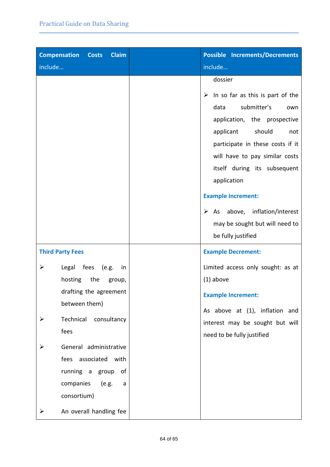| <b>Compensation Costs</b><br><b>Claim</b>                                                                                                                                                                                                            | <b>Possible Increments/Decrements</b>                                                                                                                                                                                                                                                                                                                                                         |
|------------------------------------------------------------------------------------------------------------------------------------------------------------------------------------------------------------------------------------------------------|-----------------------------------------------------------------------------------------------------------------------------------------------------------------------------------------------------------------------------------------------------------------------------------------------------------------------------------------------------------------------------------------------|
| include                                                                                                                                                                                                                                              | include                                                                                                                                                                                                                                                                                                                                                                                       |
|                                                                                                                                                                                                                                                      | dossier<br>$\triangleright$ In so far as this is part of the<br>submitter's<br>data<br>own<br>application, the prospective<br>should<br>applicant<br>not<br>participate in these costs if it<br>will have to pay similar costs<br>itself during its subsequent<br>application<br><b>Example Increment:</b><br>$\triangleright$ As above, inflation/interest<br>may be sought but will need to |
|                                                                                                                                                                                                                                                      | be fully justified                                                                                                                                                                                                                                                                                                                                                                            |
| <b>Third Party Fees</b>                                                                                                                                                                                                                              | <b>Example Decrement:</b>                                                                                                                                                                                                                                                                                                                                                                     |
| Legal fees<br>➤<br>(e.g.<br>in<br>hosting<br>the<br>group,<br>drafting the agreement<br>between them)<br>Technical<br>consultancy<br>➤<br>fees<br>General administrative<br>fees associated with<br>of<br>running a group<br>companies<br>(e.g.<br>a | Limited access only sought: as at<br>$(1)$ above<br><b>Example Increment:</b><br>As above at (1), inflation and<br>interest may be sought but will<br>need to be fully justified                                                                                                                                                                                                              |
| consortium)<br>An overall handling fee<br>➤                                                                                                                                                                                                          |                                                                                                                                                                                                                                                                                                                                                                                               |